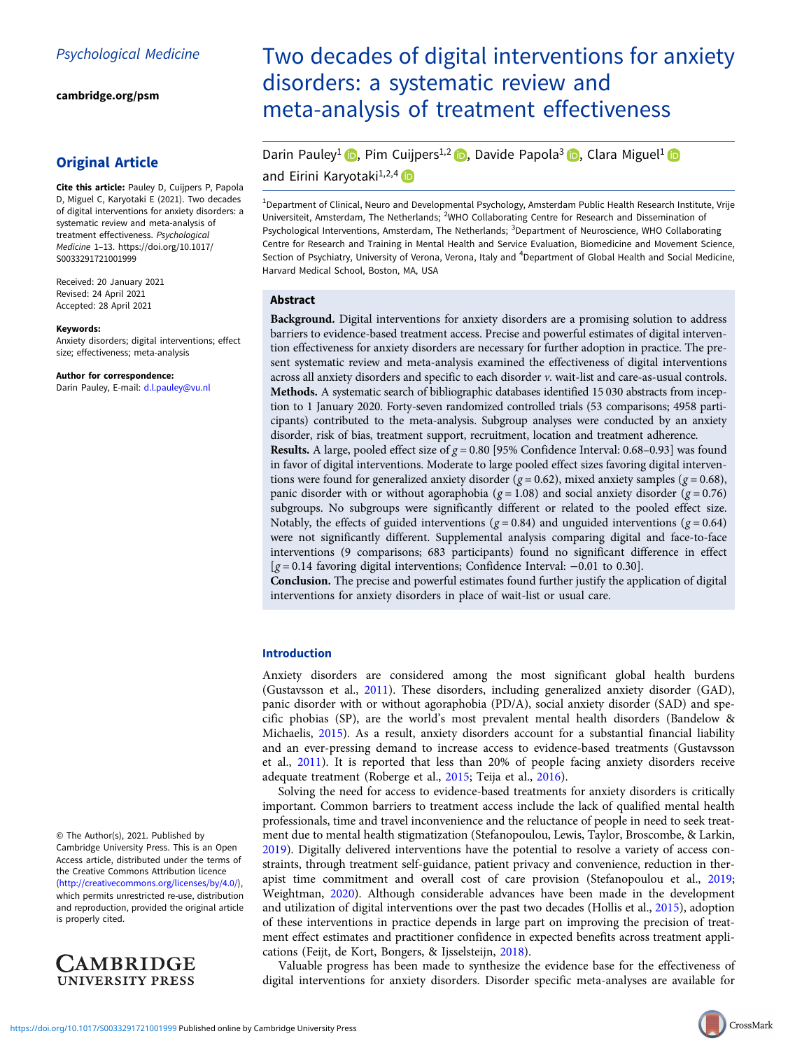[cambridge.org/psm](https://www.cambridge.org/psm)

## Original Article

Cite this article: Pauley D, Cuijpers P, Papola D, Miguel C, Karyotaki E (2021). Two decades of digital interventions for anxiety disorders: a systematic review and meta-analysis of treatment effectiveness. Psychological Medicine 1–13. [https://doi.org/10.1017/](https://doi.org/10.1017/S0033291721001999) [S0033291721001999](https://doi.org/10.1017/S0033291721001999)

Received: 20 January 2021 Revised: 24 April 2021 Accepted: 28 April 2021

#### Keywords:

Anxiety disorders; digital interventions; effect size; effectiveness; meta-analysis

Author for correspondence: Darin Pauley, E-mail: [d.l.pauley@vu.nl](mailto:d.l.pauley@vu.nl)

© The Author(s), 2021. Published by Cambridge University Press. This is an Open Access article, distributed under the terms of the Creative Commons Attribution licence ([http://creativecommons.org/licenses/by/4.0/\)](http://creativecommons.org/licenses/by/4.0/), which permits unrestricted re-use, distribution and reproduction, provided the original article is properly cited.



# Two decades of digital interventions for anxiety disorders: a systematic review and meta-analysis of treatment effectiveness

Darin Pauley<sup>1</sup> (D[,](https://orcid.org/0000-0001-5497-2743) Pim Cuijpers<sup>1,2</sup> (D, Davide Papola<sup>3</sup> (D, Clara Miguel<sup>1</sup> (D and Eirini Karyotaki<sup>1,2,4</sup>

<sup>1</sup>Department of Clinical, Neuro and Developmental Psychology, Amsterdam Public Health Research Institute, Vrije Universiteit, Amsterdam, The Netherlands; <sup>2</sup>WHO Collaborating Centre for Research and Dissemination of Psychological Interventions, Amsterdam, The Netherlands; <sup>3</sup>Department of Neuroscience, WHO Collaborating Centre for Research and Training in Mental Health and Service Evaluation, Biomedicine and Movement Science, Section of Psychiatry, University of Verona, Verona, Italy and <sup>4</sup>Department of Global Health and Social Medicine, Harvard Medical School, Boston, MA, USA

#### Abstract

Background. Digital interventions for anxiety disorders are a promising solution to address barriers to evidence-based treatment access. Precise and powerful estimates of digital intervention effectiveness for anxiety disorders are necessary for further adoption in practice. The present systematic review and meta-analysis examined the effectiveness of digital interventions across all anxiety disorders and specific to each disorder v. wait-list and care-as-usual controls. Methods. A systematic search of bibliographic databases identified 15 030 abstracts from inception to 1 January 2020. Forty-seven randomized controlled trials (53 comparisons; 4958 participants) contributed to the meta-analysis. Subgroup analyses were conducted by an anxiety disorder, risk of bias, treatment support, recruitment, location and treatment adherence. **Results.** A large, pooled effect size of  $g = 0.80$  [95% Confidence Interval: 0.68–0.93] was found in favor of digital interventions. Moderate to large pooled effect sizes favoring digital interventions were found for generalized anxiety disorder ( $g = 0.62$ ), mixed anxiety samples ( $g = 0.68$ ), panic disorder with or without agoraphobia ( $g = 1.08$ ) and social anxiety disorder ( $g = 0.76$ ) subgroups. No subgroups were significantly different or related to the pooled effect size. Notably, the effects of guided interventions ( $g = 0.84$ ) and unguided interventions ( $g = 0.64$ ) were not significantly different. Supplemental analysis comparing digital and face-to-face interventions (9 comparisons; 683 participants) found no significant difference in effect [g = 0.14 favoring digital interventions; Confidence Interval: −0.01 to 0.30].

Conclusion. The precise and powerful estimates found further justify the application of digital interventions for anxiety disorders in place of wait-list or usual care.

## Introduction

Anxiety disorders are considered among the most significant global health burdens (Gustavsson et al., [2011\)](#page-10-0). These disorders, including generalized anxiety disorder (GAD), panic disorder with or without agoraphobia (PD/A), social anxiety disorder (SAD) and specific phobias (SP), are the world's most prevalent mental health disorders (Bandelow & Michaelis, [2015](#page-9-0)). As a result, anxiety disorders account for a substantial financial liability and an ever-pressing demand to increase access to evidence-based treatments (Gustavsson et al., [2011](#page-10-0)). It is reported that less than 20% of people facing anxiety disorders receive adequate treatment (Roberge et al., [2015](#page-11-0); Teija et al., [2016](#page-12-0)).

Solving the need for access to evidence-based treatments for anxiety disorders is critically important. Common barriers to treatment access include the lack of qualified mental health professionals, time and travel inconvenience and the reluctance of people in need to seek treatment due to mental health stigmatization (Stefanopoulou, Lewis, Taylor, Broscombe, & Larkin, [2019\)](#page-12-0). Digitally delivered interventions have the potential to resolve a variety of access constraints, through treatment self-guidance, patient privacy and convenience, reduction in therapist time commitment and overall cost of care provision (Stefanopoulou et al., [2019](#page-12-0); Weightman, [2020\)](#page-12-0). Although considerable advances have been made in the development and utilization of digital interventions over the past two decades (Hollis et al., [2015\)](#page-10-0), adoption of these interventions in practice depends in large part on improving the precision of treatment effect estimates and practitioner confidence in expected benefits across treatment applications (Feijt, de Kort, Bongers, & Ijsselsteijn, [2018](#page-10-0)).

Valuable progress has been made to synthesize the evidence base for the effectiveness of digital interventions for anxiety disorders. Disorder specific meta-analyses are available for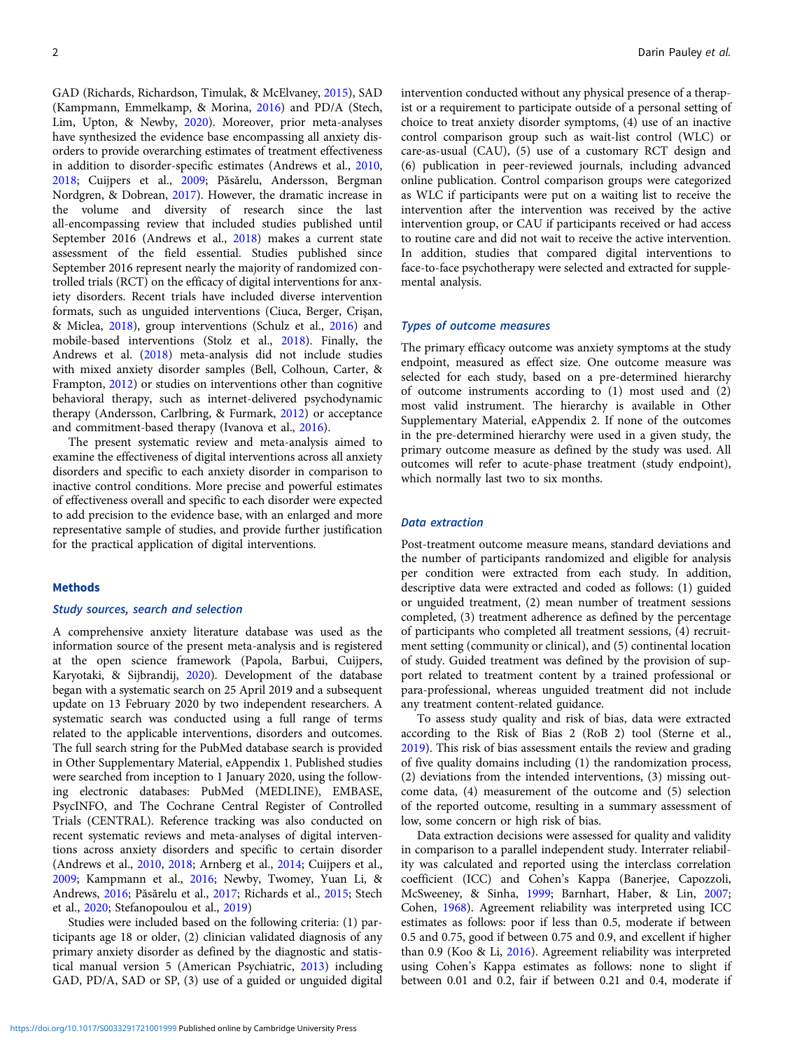GAD (Richards, Richardson, Timulak, & McElvaney, [2015](#page-11-0)), SAD (Kampmann, Emmelkamp, & Morina, [2016](#page-11-0)) and PD/A (Stech, Lim, Upton, & Newby, [2020\)](#page-12-0). Moreover, prior meta-analyses have synthesized the evidence base encompassing all anxiety disorders to provide overarching estimates of treatment effectiveness in addition to disorder-specific estimates (Andrews et al., [2010](#page-9-0), [2018;](#page-9-0) Cuijpers et al., [2009](#page-10-0); Păsărelu, Andersson, Bergman Nordgren, & Dobrean, [2017\)](#page-11-0). However, the dramatic increase in the volume and diversity of research since the last all-encompassing review that included studies published until September 2016 (Andrews et al., [2018](#page-9-0)) makes a current state assessment of the field essential. Studies published since September 2016 represent nearly the majority of randomized controlled trials (RCT) on the efficacy of digital interventions for anxiety disorders. Recent trials have included diverse intervention formats, such as unguided interventions (Ciuca, Berger, Crişan, & Miclea, [2018\)](#page-10-0), group interventions (Schulz et al., [2016](#page-11-0)) and mobile-based interventions (Stolz et al., [2018\)](#page-12-0). Finally, the Andrews et al. ([2018](#page-9-0)) meta-analysis did not include studies with mixed anxiety disorder samples (Bell, Colhoun, Carter, & Frampton, [2012\)](#page-9-0) or studies on interventions other than cognitive behavioral therapy, such as internet-delivered psychodynamic therapy (Andersson, Carlbring, & Furmark, [2012](#page-9-0)) or acceptance and commitment-based therapy (Ivanova et al., [2016\)](#page-10-0).

The present systematic review and meta-analysis aimed to examine the effectiveness of digital interventions across all anxiety disorders and specific to each anxiety disorder in comparison to inactive control conditions. More precise and powerful estimates of effectiveness overall and specific to each disorder were expected to add precision to the evidence base, with an enlarged and more representative sample of studies, and provide further justification for the practical application of digital interventions.

## Methods

## Study sources, search and selection

A comprehensive anxiety literature database was used as the information source of the present meta-analysis and is registered at the open science framework (Papola, Barbui, Cuijpers, Karyotaki, & Sijbrandij, [2020](#page-11-0)). Development of the database began with a systematic search on 25 April 2019 and a subsequent update on 13 February 2020 by two independent researchers. A systematic search was conducted using a full range of terms related to the applicable interventions, disorders and outcomes. The full search string for the PubMed database search is provided in Other Supplementary Material, eAppendix 1. Published studies were searched from inception to 1 January 2020, using the following electronic databases: PubMed (MEDLINE), EMBASE, PsycINFO, and The Cochrane Central Register of Controlled Trials (CENTRAL). Reference tracking was also conducted on recent systematic reviews and meta-analyses of digital interventions across anxiety disorders and specific to certain disorder (Andrews et al., [2010](#page-9-0), [2018;](#page-9-0) Arnberg et al., [2014;](#page-9-0) Cuijpers et al., [2009;](#page-10-0) Kampmann et al., [2016;](#page-11-0) Newby, Twomey, Yuan Li, & Andrews, [2016;](#page-11-0) Păsărelu et al., [2017](#page-11-0); Richards et al., [2015;](#page-11-0) Stech et al., [2020;](#page-12-0) Stefanopoulou et al., [2019](#page-12-0))

Studies were included based on the following criteria: (1) participants age 18 or older, (2) clinician validated diagnosis of any primary anxiety disorder as defined by the diagnostic and statistical manual version 5 (American Psychiatric, [2013](#page-9-0)) including GAD, PD/A, SAD or SP, (3) use of a guided or unguided digital intervention conducted without any physical presence of a therapist or a requirement to participate outside of a personal setting of choice to treat anxiety disorder symptoms, (4) use of an inactive control comparison group such as wait-list control (WLC) or care-as-usual (CAU), (5) use of a customary RCT design and (6) publication in peer-reviewed journals, including advanced online publication. Control comparison groups were categorized as WLC if participants were put on a waiting list to receive the intervention after the intervention was received by the active intervention group, or CAU if participants received or had access to routine care and did not wait to receive the active intervention. In addition, studies that compared digital interventions to face-to-face psychotherapy were selected and extracted for supplemental analysis.

## Types of outcome measures

The primary efficacy outcome was anxiety symptoms at the study endpoint, measured as effect size. One outcome measure was selected for each study, based on a pre-determined hierarchy of outcome instruments according to (1) most used and (2) most valid instrument. The hierarchy is available in Other Supplementary Material, eAppendix 2. If none of the outcomes in the pre-determined hierarchy were used in a given study, the primary outcome measure as defined by the study was used. All outcomes will refer to acute-phase treatment (study endpoint), which normally last two to six months.

## Data extraction

Post-treatment outcome measure means, standard deviations and the number of participants randomized and eligible for analysis per condition were extracted from each study. In addition, descriptive data were extracted and coded as follows: (1) guided or unguided treatment, (2) mean number of treatment sessions completed, (3) treatment adherence as defined by the percentage of participants who completed all treatment sessions, (4) recruitment setting (community or clinical), and (5) continental location of study. Guided treatment was defined by the provision of support related to treatment content by a trained professional or para-professional, whereas unguided treatment did not include any treatment content-related guidance.

To assess study quality and risk of bias, data were extracted according to the Risk of Bias 2 (RoB 2) tool (Sterne et al., [2019\)](#page-12-0). This risk of bias assessment entails the review and grading of five quality domains including (1) the randomization process, (2) deviations from the intended interventions, (3) missing outcome data, (4) measurement of the outcome and (5) selection of the reported outcome, resulting in a summary assessment of low, some concern or high risk of bias.

Data extraction decisions were assessed for quality and validity in comparison to a parallel independent study. Interrater reliability was calculated and reported using the interclass correlation coefficient (ICC) and Cohen's Kappa (Banerjee, Capozzoli, McSweeney, & Sinha, [1999](#page-9-0); Barnhart, Haber, & Lin, [2007;](#page-9-0) Cohen, [1968\)](#page-10-0). Agreement reliability was interpreted using ICC estimates as follows: poor if less than 0.5, moderate if between 0.5 and 0.75, good if between 0.75 and 0.9, and excellent if higher than 0.9 (Koo & Li, [2016](#page-11-0)). Agreement reliability was interpreted using Cohen's Kappa estimates as follows: none to slight if between 0.01 and 0.2, fair if between 0.21 and 0.4, moderate if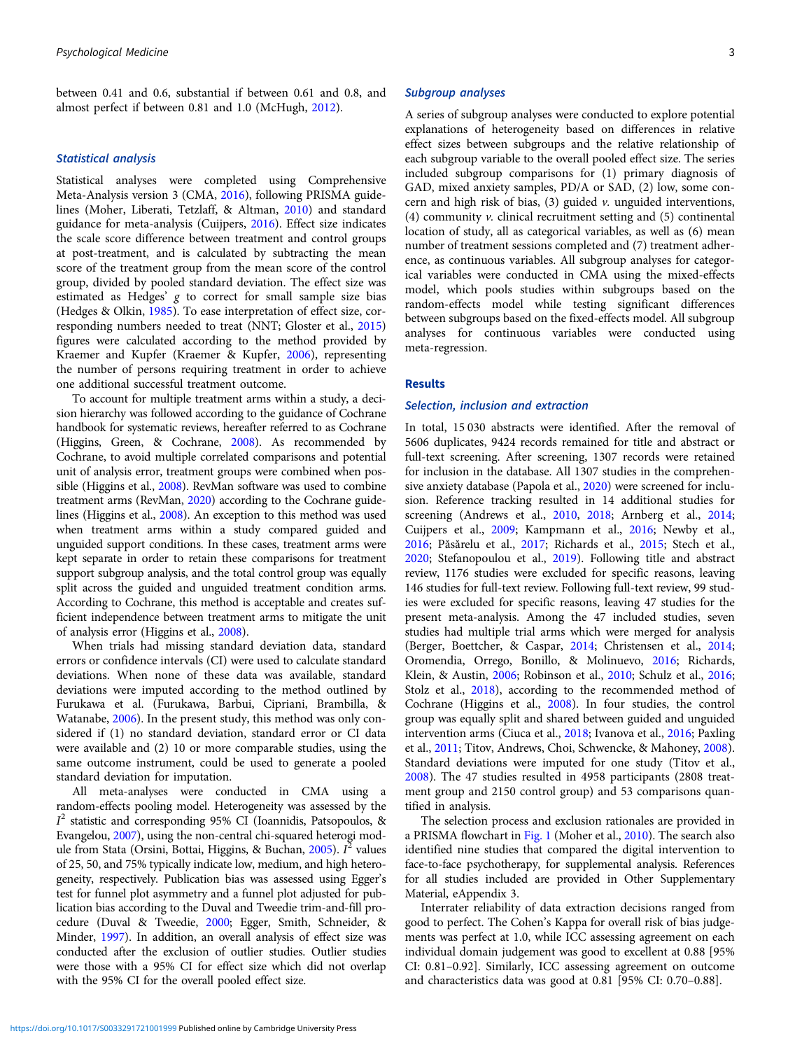between 0.41 and 0.6, substantial if between 0.61 and 0.8, and almost perfect if between 0.81 and 1.0 (McHugh, [2012\)](#page-11-0).

## Statistical analysis

Statistical analyses were completed using Comprehensive Meta-Analysis version 3 (CMA, [2016](#page-10-0)), following PRISMA guidelines (Moher, Liberati, Tetzlaff, & Altman, [2010](#page-11-0)) and standard guidance for meta-analysis (Cuijpers, [2016\)](#page-10-0). Effect size indicates the scale score difference between treatment and control groups at post-treatment, and is calculated by subtracting the mean score of the treatment group from the mean score of the control group, divided by pooled standard deviation. The effect size was estimated as Hedges' g to correct for small sample size bias (Hedges & Olkin, [1985](#page-10-0)). To ease interpretation of effect size, corresponding numbers needed to treat (NNT; Gloster et al., [2015\)](#page-10-0) figures were calculated according to the method provided by Kraemer and Kupfer (Kraemer & Kupfer, [2006\)](#page-11-0), representing the number of persons requiring treatment in order to achieve one additional successful treatment outcome.

To account for multiple treatment arms within a study, a decision hierarchy was followed according to the guidance of Cochrane handbook for systematic reviews, hereafter referred to as Cochrane (Higgins, Green, & Cochrane, [2008\)](#page-10-0). As recommended by Cochrane, to avoid multiple correlated comparisons and potential unit of analysis error, treatment groups were combined when possible (Higgins et al., [2008\)](#page-10-0). RevMan software was used to combine treatment arms (RevMan, [2020\)](#page-11-0) according to the Cochrane guidelines (Higgins et al., [2008](#page-10-0)). An exception to this method was used when treatment arms within a study compared guided and unguided support conditions. In these cases, treatment arms were kept separate in order to retain these comparisons for treatment support subgroup analysis, and the total control group was equally split across the guided and unguided treatment condition arms. According to Cochrane, this method is acceptable and creates sufficient independence between treatment arms to mitigate the unit of analysis error (Higgins et al., [2008\)](#page-10-0).

When trials had missing standard deviation data, standard errors or confidence intervals (CI) were used to calculate standard deviations. When none of these data was available, standard deviations were imputed according to the method outlined by Furukawa et al. (Furukawa, Barbui, Cipriani, Brambilla, & Watanabe, [2006](#page-10-0)). In the present study, this method was only considered if (1) no standard deviation, standard error or CI data were available and (2) 10 or more comparable studies, using the same outcome instrument, could be used to generate a pooled standard deviation for imputation.

All meta-analyses were conducted in CMA using a random-effects pooling model. Heterogeneity was assessed by the I <sup>2</sup> statistic and corresponding 95% CI (Ioannidis, Patsopoulos, & Evangelou, [2007](#page-10-0)), using the non-central chi-squared heterogi mod-ule from Stata (Orsini, Bottai, Higgins, & Buchan, [2005](#page-11-0)). I<sup>2</sup> values of 25, 50, and 75% typically indicate low, medium, and high heterogeneity, respectively. Publication bias was assessed using Egger's test for funnel plot asymmetry and a funnel plot adjusted for publication bias according to the Duval and Tweedie trim-and-fill procedure (Duval & Tweedie, [2000;](#page-10-0) Egger, Smith, Schneider, & Minder, [1997](#page-10-0)). In addition, an overall analysis of effect size was conducted after the exclusion of outlier studies. Outlier studies were those with a 95% CI for effect size which did not overlap with the 95% CI for the overall pooled effect size.

#### Subgroup analyses

A series of subgroup analyses were conducted to explore potential explanations of heterogeneity based on differences in relative effect sizes between subgroups and the relative relationship of each subgroup variable to the overall pooled effect size. The series included subgroup comparisons for (1) primary diagnosis of GAD, mixed anxiety samples, PD/A or SAD, (2) low, some concern and high risk of bias,  $(3)$  guided  $\nu$ . unguided interventions, (4) community v. clinical recruitment setting and (5) continental location of study, all as categorical variables, as well as (6) mean number of treatment sessions completed and (7) treatment adherence, as continuous variables. All subgroup analyses for categorical variables were conducted in CMA using the mixed-effects model, which pools studies within subgroups based on the random-effects model while testing significant differences between subgroups based on the fixed-effects model. All subgroup analyses for continuous variables were conducted using meta-regression.

#### Results

#### Selection, inclusion and extraction

In total, 15 030 abstracts were identified. After the removal of 5606 duplicates, 9424 records remained for title and abstract or full-text screening. After screening, 1307 records were retained for inclusion in the database. All 1307 studies in the comprehensive anxiety database (Papola et al., [2020](#page-11-0)) were screened for inclusion. Reference tracking resulted in 14 additional studies for screening (Andrews et al., [2010](#page-9-0), [2018](#page-9-0); Arnberg et al., [2014](#page-9-0); Cuijpers et al., [2009;](#page-10-0) Kampmann et al., [2016;](#page-11-0) Newby et al., [2016](#page-11-0); Păsărelu et al., [2017](#page-11-0); Richards et al., [2015;](#page-11-0) Stech et al., [2020](#page-12-0); Stefanopoulou et al., [2019](#page-12-0)). Following title and abstract review, 1176 studies were excluded for specific reasons, leaving 146 studies for full-text review. Following full-text review, 99 studies were excluded for specific reasons, leaving 47 studies for the present meta-analysis. Among the 47 included studies, seven studies had multiple trial arms which were merged for analysis (Berger, Boettcher, & Caspar, [2014](#page-9-0); Christensen et al., [2014](#page-10-0); Oromendia, Orrego, Bonillo, & Molinuevo, [2016](#page-11-0); Richards, Klein, & Austin, [2006;](#page-11-0) Robinson et al., [2010;](#page-11-0) Schulz et al., [2016](#page-11-0); Stolz et al., [2018](#page-12-0)), according to the recommended method of Cochrane (Higgins et al., [2008](#page-10-0)). In four studies, the control group was equally split and shared between guided and unguided intervention arms (Ciuca et al., [2018;](#page-10-0) Ivanova et al., [2016;](#page-10-0) Paxling et al., [2011;](#page-11-0) Titov, Andrews, Choi, Schwencke, & Mahoney, [2008](#page-12-0)). Standard deviations were imputed for one study (Titov et al., [2008](#page-12-0)). The 47 studies resulted in 4958 participants (2808 treatment group and 2150 control group) and 53 comparisons quantified in analysis.

The selection process and exclusion rationales are provided in a PRISMA flowchart in [Fig. 1](#page-3-0) (Moher et al., [2010](#page-11-0)). The search also identified nine studies that compared the digital intervention to face-to-face psychotherapy, for supplemental analysis. References for all studies included are provided in Other Supplementary Material, eAppendix 3.

Interrater reliability of data extraction decisions ranged from good to perfect. The Cohen's Kappa for overall risk of bias judgements was perfect at 1.0, while ICC assessing agreement on each individual domain judgement was good to excellent at 0.88 [95% CI: 0.81–0.92]. Similarly, ICC assessing agreement on outcome and characteristics data was good at 0.81 [95% CI: 0.70–0.88].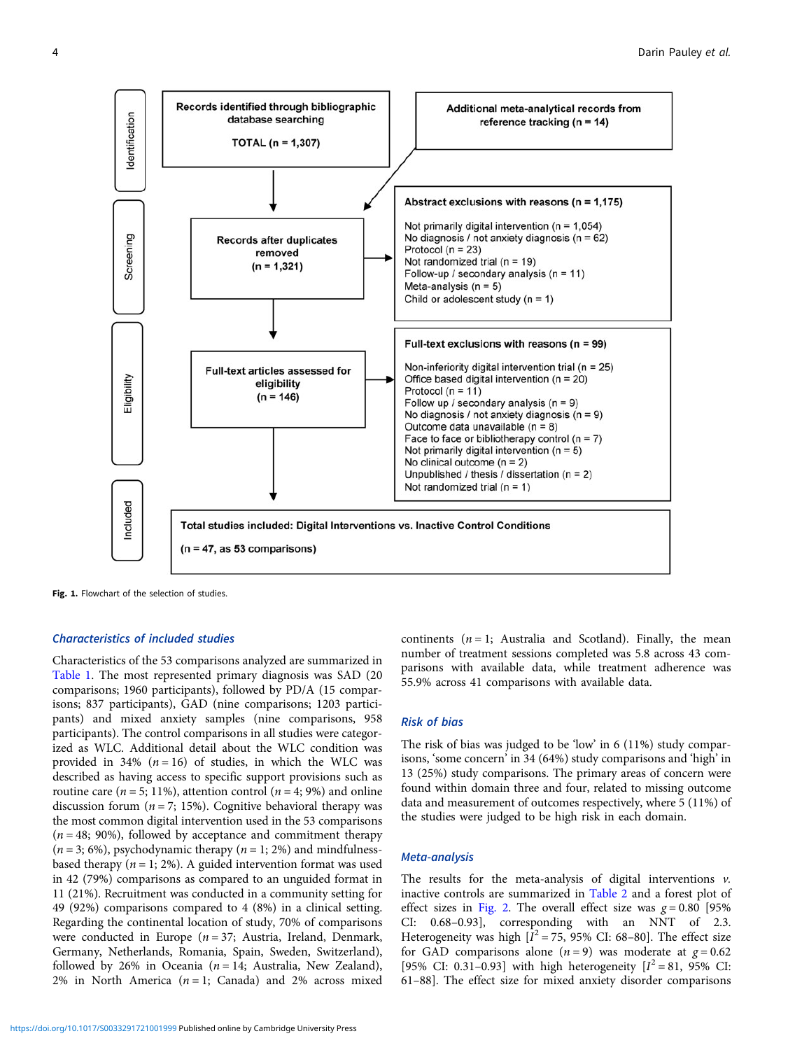<span id="page-3-0"></span>

Fig. 1. Flowchart of the selection of studies.

## Characteristics of included studies

Characteristics of the 53 comparisons analyzed are summarized in [Table 1.](#page-4-0) The most represented primary diagnosis was SAD (20 comparisons; 1960 participants), followed by PD/A (15 comparisons; 837 participants), GAD (nine comparisons; 1203 participants) and mixed anxiety samples (nine comparisons, 958 participants). The control comparisons in all studies were categorized as WLC. Additional detail about the WLC condition was provided in 34%  $(n = 16)$  of studies, in which the WLC was described as having access to specific support provisions such as routine care ( $n = 5$ ; 11%), attention control ( $n = 4$ ; 9%) and online discussion forum ( $n = 7$ ; 15%). Cognitive behavioral therapy was the most common digital intervention used in the 53 comparisons  $(n = 48; 90\%)$ , followed by acceptance and commitment therapy  $(n = 3, 6\%)$ , psychodynamic therapy  $(n = 1, 2\%)$  and mindfulnessbased therapy ( $n = 1$ ; 2%). A guided intervention format was used in 42 (79%) comparisons as compared to an unguided format in 11 (21%). Recruitment was conducted in a community setting for 49 (92%) comparisons compared to 4 (8%) in a clinical setting. Regarding the continental location of study, 70% of comparisons were conducted in Europe ( $n = 37$ ; Austria, Ireland, Denmark, Germany, Netherlands, Romania, Spain, Sweden, Switzerland), followed by 26% in Oceania ( $n = 14$ ; Australia, New Zealand), 2% in North America  $(n = 1;$  Canada) and 2% across mixed

continents  $(n = 1;$  Australia and Scotland). Finally, the mean number of treatment sessions completed was 5.8 across 43 comparisons with available data, while treatment adherence was 55.9% across 41 comparisons with available data.

## Risk of bias

The risk of bias was judged to be 'low' in 6 (11%) study comparisons, 'some concern' in 34 (64%) study comparisons and 'high' in 13 (25%) study comparisons. The primary areas of concern were found within domain three and four, related to missing outcome data and measurement of outcomes respectively, where 5 (11%) of the studies were judged to be high risk in each domain.

## Meta-analysis

The results for the meta-analysis of digital interventions  $v$ . inactive controls are summarized in [Table 2](#page-6-0) and a forest plot of effect sizes in [Fig. 2](#page-7-0). The overall effect size was  $g = 0.80$  [95% CI: 0.68–0.93], corresponding with an NNT of 2.3. Heterogeneity was high  $[I^2 = 75, 95\%$  CI: 68-80]. The effect size for GAD comparisons alone  $(n = 9)$  was moderate at  $g = 0.62$ [95% CI: 0.31-0.93] with high heterogeneity  $[I^2 = 81, 95\%$  CI: 61–88]. The effect size for mixed anxiety disorder comparisons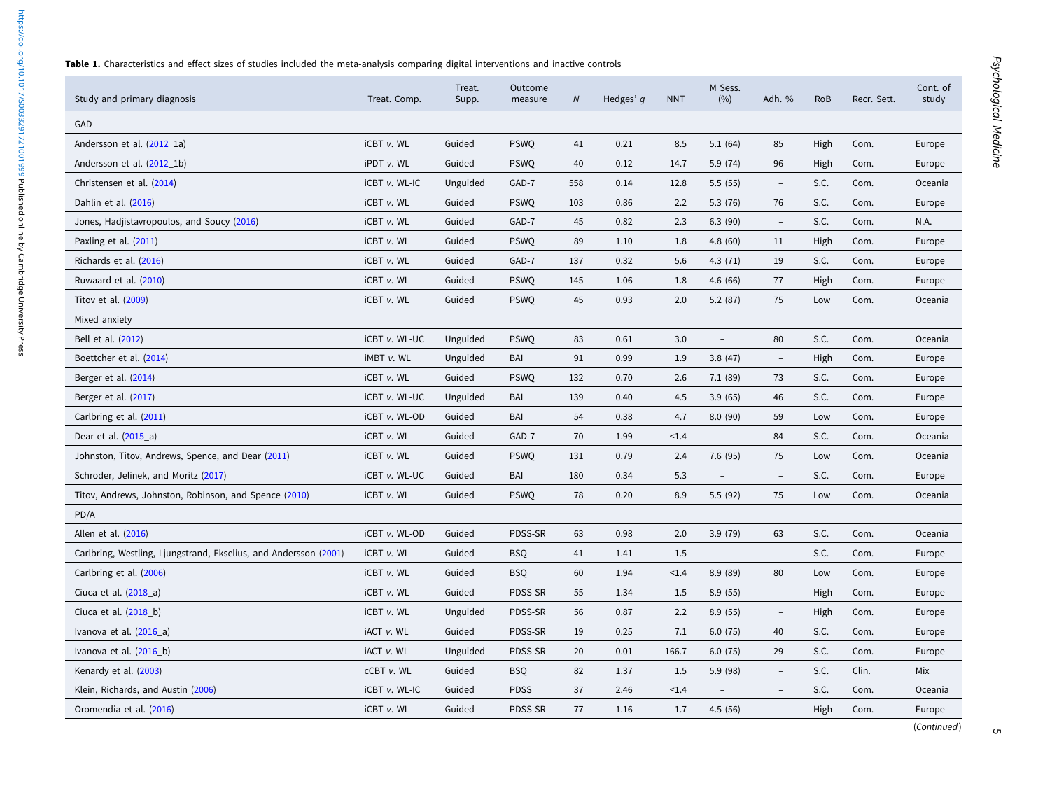Table 1. Characteristics and effect sizes of studies included the meta-analysis comparing digital interventions and inactive controls

<span id="page-4-0"></span>https://doi.org/10.1017/50033291721001999 Published online by Cambridge University Press <https://doi.org/10.1017/S0033291721001999>Published online by Cambridge University Press

| Study and primary diagnosis                                      | Treat. Comp.      | Treat.<br>Supp. | Outcome<br>measure | $\boldsymbol{N}$ | Hedges' q | <b>NNT</b> | M Sess.<br>(%)           | Adh. %                   | <b>RoB</b> | Recr. Sett. | Cont. of<br>study |
|------------------------------------------------------------------|-------------------|-----------------|--------------------|------------------|-----------|------------|--------------------------|--------------------------|------------|-------------|-------------------|
| GAD                                                              |                   |                 |                    |                  |           |            |                          |                          |            |             |                   |
| Andersson et al. (2012 1a)                                       | iCBT v. WL        | Guided          | <b>PSWQ</b>        | 41               | 0.21      | 8.5        | 5.1(64)                  | 85                       | High       | Com.        | Europe            |
| Andersson et al. (2012_1b)                                       | iPDT v. WL        | Guided          | <b>PSWQ</b>        | 40               | 0.12      | 14.7       | 5.9 (74)                 | 96                       | High       | Com.        | Europe            |
| Christensen et al. (2014)                                        | iCBT v. WL-IC     | Unguided        | GAD-7              | 558              | 0.14      | 12.8       | 5.5(55)                  | $\overline{\phantom{a}}$ | S.C.       | Com.        | Oceania           |
| Dahlin et al. (2016)                                             | iCBT v. WL        | Guided          | <b>PSWQ</b>        | 103              | 0.86      | 2.2        | 5.3(76)                  | 76                       | S.C.       | Com.        | Europe            |
| Jones, Hadjistavropoulos, and Soucy (2016)                       | iCBT v. WL        | Guided          | GAD-7              | 45               | 0.82      | 2.3        | 6.3(90)                  | $\overline{\phantom{a}}$ | S.C.       | Com.        | N.A.              |
| Paxling et al. (2011)                                            | iCBT v. WL        | Guided          | <b>PSWQ</b>        | 89               | 1.10      | 1.8        | 4.8(60)                  | 11                       | High       | Com.        | Europe            |
| Richards et al. (2016)                                           | iCBT v. WL        | Guided          | GAD-7              | 137              | 0.32      | 5.6        | 4.3(71)                  | 19                       | S.C.       | Com.        | Europe            |
| Ruwaard et al. (2010)                                            | iCBT v. WL        | Guided          | <b>PSWQ</b>        | 145              | 1.06      | 1.8        | 4.6 (66)                 | 77                       | High       | Com.        | Europe            |
| Titov et al. (2009)                                              | iCBT v. WL        | Guided          | <b>PSWQ</b>        | 45               | 0.93      | 2.0        | 5.2(87)                  | 75                       | Low        | Com.        | Oceania           |
| Mixed anxiety                                                    |                   |                 |                    |                  |           |            |                          |                          |            |             |                   |
| Bell et al. (2012)                                               | iCBT v. WL-UC     | Unguided        | <b>PSWQ</b>        | 83               | 0.61      | 3.0        | $\overline{\phantom{a}}$ | 80                       | S.C.       | Com.        | Oceania           |
| Boettcher et al. (2014)                                          | iMBT v. WL        | Unguided        | <b>BAI</b>         | 91               | 0.99      | 1.9        | 3.8(47)                  | $\overline{\phantom{a}}$ | High       | Com.        | Europe            |
| Berger et al. (2014)                                             | iCBT v. WL        | Guided          | <b>PSWQ</b>        | 132              | 0.70      | 2.6        | 7.1(89)                  | 73                       | S.C.       | Com.        | Europe            |
| Berger et al. (2017)                                             | iCBT v. WL-UC     | Unguided        | BAI                | 139              | 0.40      | 4.5        | 3.9(65)                  | 46                       | S.C.       | Com.        | Europe            |
| Carlbring et al. (2011)                                          | iCBT v. WL-OD     | Guided          | BAI                | 54               | 0.38      | 4.7        | 8.0(90)                  | 59                       | Low        | Com.        | Europe            |
| Dear et al. (2015_a)                                             | iCBT v. WL        | Guided          | GAD-7              | 70               | 1.99      | < 1.4      | $\equiv$                 | 84                       | S.C.       | Com.        | Oceania           |
| Johnston, Titov, Andrews, Spence, and Dear (2011)                | iCBT v. WL        | Guided          | <b>PSWQ</b>        | 131              | 0.79      | 2.4        | 7.6 (95)                 | 75                       | Low        | Com.        | Oceania           |
| Schroder, Jelinek, and Moritz (2017)                             | iCBT v. WL-UC     | Guided          | BAI                | 180              | 0.34      | 5.3        | $\overline{\phantom{a}}$ | $\overline{\phantom{a}}$ | S.C.       | Com.        | Europe            |
| Titov, Andrews, Johnston, Robinson, and Spence (2010)            | iCBT v. WL        | Guided          | <b>PSWQ</b>        | 78               | 0.20      | 8.9        | 5.5(92)                  | 75                       | Low        | Com.        | Oceania           |
| PD/A                                                             |                   |                 |                    |                  |           |            |                          |                          |            |             |                   |
| Allen et al. (2016)                                              | iCBT v. WL-OD     | Guided          | PDSS-SR            | 63               | 0.98      | 2.0        | 3.9(79)                  | 63                       | S.C.       | Com.        | Oceania           |
| Carlbring, Westling, Ljungstrand, Ekselius, and Andersson (2001) | iCBT v. WL        | Guided          | <b>BSQ</b>         | 41               | 1.41      | 1.5        | $\overline{\phantom{a}}$ | $\overline{\phantom{a}}$ | S.C.       | Com.        | Europe            |
| Carlbring et al. (2006)                                          | iCBT v. WL        | Guided          | <b>BSQ</b>         | 60               | 1.94      | < 1.4      | 8.9(89)                  | 80                       | Low        | Com.        | Europe            |
| Ciuca et al. (2018_a)                                            | iCBT v. WL        | Guided          | PDSS-SR            | 55               | 1.34      | 1.5        | 8.9(55)                  | $\overline{\phantom{a}}$ | High       | Com.        | Europe            |
| Ciuca et al. (2018_b)                                            | iCBT v. WL        | Unguided        | PDSS-SR            | 56               | 0.87      | 2.2        | 8.9(55)                  | $\overline{\phantom{a}}$ | High       | Com.        | Europe            |
| Ivanova et al. (2016_a)                                          | <b>IACT v. WL</b> | Guided          | PDSS-SR            | 19               | 0.25      | 7.1        | 6.0(75)                  | 40                       | S.C.       | Com.        | Europe            |
| Ivanova et al. (2016_b)                                          | <b>IACT v. WL</b> | Unguided        | PDSS-SR            | 20               | 0.01      | 166.7      | 6.0(75)                  | 29                       | S.C.       | Com.        | Europe            |
| Kenardy et al. (2003)                                            | cCBT v. WL        | Guided          | <b>BSQ</b>         | 82               | 1.37      | 1.5        | 5.9 (98)                 | $\overline{\phantom{m}}$ | S.C.       | Clin.       | Mix               |
| Klein, Richards, and Austin (2006)                               | iCBT v. WL-IC     | Guided          | <b>PDSS</b>        | 37               | 2.46      | < 1.4      |                          |                          | S.C.       | Com.        | Oceania           |
| Oromendia et al. (2016)                                          | iCBT v. WL        | Guided          | PDSS-SR            | 77               | 1.16      | 1.7        | 4.5(56)                  | $\overline{\phantom{a}}$ | High       | Com.        | Europe            |
|                                                                  |                   |                 |                    |                  |           |            |                          |                          |            |             |                   |

 $\sigma$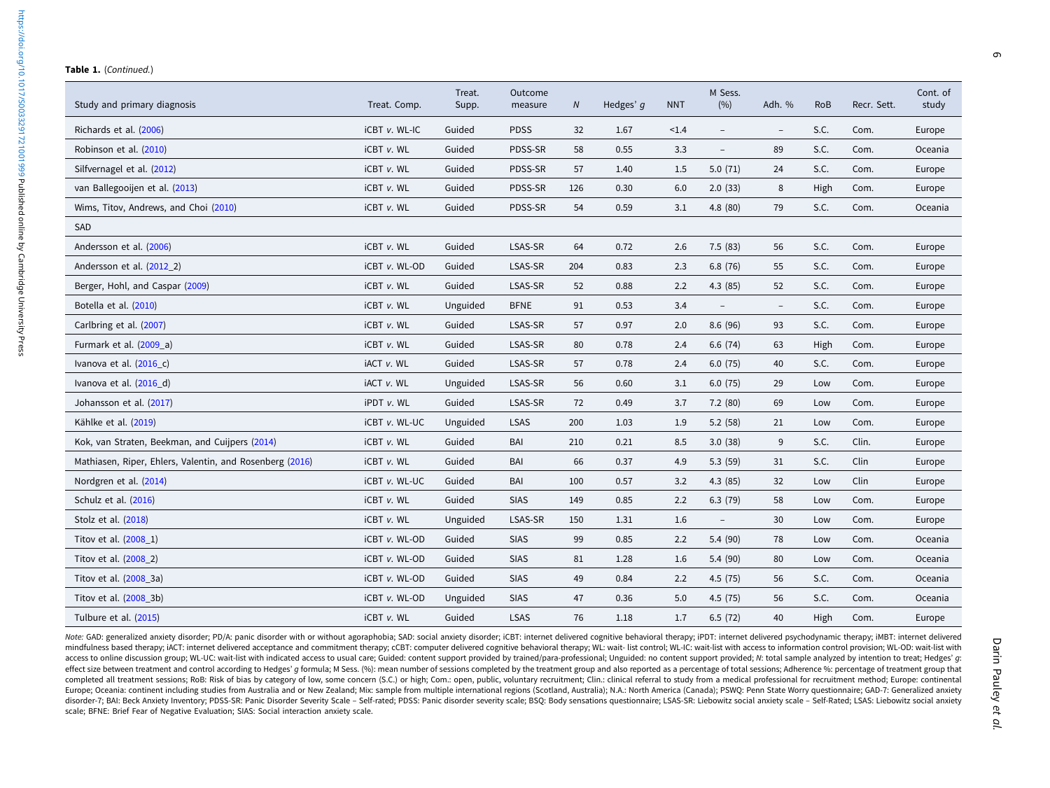#### Table 1. (Continued.)

| Study and primary diagnosis                              | Treat. Comp.      | Treat.<br>Supp. | Outcome<br>measure | N   | Hedges' g | <b>NNT</b> | M Sess.<br>(%)           | Adh. %                   | <b>RoB</b> | Recr. Sett. | Cont. of<br>study |
|----------------------------------------------------------|-------------------|-----------------|--------------------|-----|-----------|------------|--------------------------|--------------------------|------------|-------------|-------------------|
| Richards et al. (2006)                                   | iCBT v. WL-IC     | Guided          | <b>PDSS</b>        | 32  | 1.67      | < 1.4      | $\qquad \qquad -$        | $\overline{\phantom{a}}$ | S.C.       | Com.        | Europe            |
| Robinson et al. (2010)                                   | iCBT v. WL        | Guided          | PDSS-SR            | 58  | 0.55      | 3.3        | $\qquad \qquad -$        | 89                       | S.C.       | Com.        | Oceania           |
| Silfvernagel et al. (2012)                               | iCBT v. WL        | Guided          | PDSS-SR            | 57  | 1.40      | 1.5        | 5.0(71)                  | 24                       | S.C.       | Com.        | Europe            |
| van Ballegooijen et al. (2013)                           | iCBT v. WL        | Guided          | PDSS-SR            | 126 | 0.30      | 6.0        | 2.0(33)                  | 8                        | High       | Com.        | Europe            |
| Wims, Titov, Andrews, and Choi (2010)                    | iCBT v. WL        | Guided          | PDSS-SR            | 54  | 0.59      | 3.1        | 4.8(80)                  | 79                       | S.C.       | Com.        | Oceania           |
| SAD                                                      |                   |                 |                    |     |           |            |                          |                          |            |             |                   |
| Andersson et al. (2006)                                  | iCBT v. WL        | Guided          | LSAS-SR            | 64  | 0.72      | 2.6        | 7.5(83)                  | 56                       | S.C.       | Com.        | Europe            |
| Andersson et al. (2012 2)                                | iCBT v. WL-OD     | Guided          | LSAS-SR            | 204 | 0.83      | 2.3        | 6.8(76)                  | 55                       | S.C.       | Com.        | Europe            |
| Berger, Hohl, and Caspar (2009)                          | iCBT v. WL        | Guided          | LSAS-SR            | 52  | 0.88      | 2.2        | 4.3(85)                  | 52                       | S.C.       | Com.        | Europe            |
| Botella et al. (2010)                                    | <b>iCBT v. WL</b> | Unguided        | <b>BFNE</b>        | 91  | 0.53      | 3.4        | $\qquad \qquad -$        | $\overline{\phantom{a}}$ | S.C.       | Com.        | Europe            |
| Carlbring et al. (2007)                                  | iCBT v. WL        | Guided          | LSAS-SR            | 57  | 0.97      | 2.0        | 8.6(96)                  | 93                       | S.C.       | Com.        | Europe            |
| Furmark et al. (2009 a)                                  | iCBT v. WL        | Guided          | LSAS-SR            | 80  | 0.78      | 2.4        | 6.6(74)                  | 63                       | High       | Com.        | Europe            |
| Ivanova et al. (2016_c)                                  | <b>IACT v. WL</b> | Guided          | LSAS-SR            | 57  | 0.78      | 2.4        | 6.0(75)                  | 40                       | S.C.       | Com.        | Europe            |
| Ivanova et al. (2016 d)                                  | iACT v. WL        | Unguided        | LSAS-SR            | 56  | 0.60      | 3.1        | 6.0(75)                  | 29                       | Low        | Com.        | Europe            |
| Johansson et al. (2017)                                  | <b>iPDT v. WL</b> | Guided          | LSAS-SR            | 72  | 0.49      | 3.7        | 7.2(80)                  | 69                       | Low        | Com.        | Europe            |
| Kählke et al. (2019)                                     | iCBT v. WL-UC     | Unguided        | <b>LSAS</b>        | 200 | 1.03      | 1.9        | 5.2(58)                  | 21                       | Low        | Com.        | Europe            |
| Kok, van Straten, Beekman, and Cuijpers (2014)           | iCBT v. WL        | Guided          | BAI                | 210 | 0.21      | 8.5        | 3.0(38)                  | 9                        | S.C.       | Clin.       | Europe            |
| Mathiasen, Riper, Ehlers, Valentin, and Rosenberg (2016) | iCBT v. WL        | Guided          | BAI                | 66  | 0.37      | 4.9        | 5.3(59)                  | 31                       | S.C.       | Clin        | Europe            |
| Nordgren et al. (2014)                                   | iCBT v. WL-UC     | Guided          | BAI                | 100 | 0.57      | 3.2        | 4.3(85)                  | 32                       | Low        | Clin        | Europe            |
| Schulz et al. (2016)                                     | iCBT v. WL        | Guided          | <b>SIAS</b>        | 149 | 0.85      | 2.2        | 6.3(79)                  | 58                       | Low        | Com.        | Europe            |
| Stolz et al. (2018)                                      | iCBT v. WL        | Unguided        | LSAS-SR            | 150 | 1.31      | 1.6        | $\overline{\phantom{a}}$ | 30                       | Low        | Com.        | Europe            |
| Titov et al. (2008_1)                                    | iCBT v. WL-OD     | Guided          | <b>SIAS</b>        | 99  | 0.85      | 2.2        | 5.4(90)                  | 78                       | Low        | Com.        | Oceania           |
| Titov et al. (2008_2)                                    | iCBT v. WL-OD     | Guided          | <b>SIAS</b>        | 81  | 1.28      | 1.6        | 5.4(90)                  | 80                       | Low        | Com.        | Oceania           |
| Titov et al. (2008 3a)                                   | iCBT v. WL-OD     | Guided          | <b>SIAS</b>        | 49  | 0.84      | 2.2        | 4.5(75)                  | 56                       | S.C.       | Com.        | Oceania           |
| Titov et al. (2008_3b)                                   | iCBT v. WL-OD     | Unguided        | <b>SIAS</b>        | 47  | 0.36      | 5.0        | 4.5(75)                  | 56                       | S.C.       | Com.        | Oceania           |
| Tulbure et al. (2015)                                    | iCBT v. WL        | Guided          | <b>LSAS</b>        | 76  | 1.18      | 1.7        | 6.5(72)                  | 40                       | High       | Com.        | Europe            |

Note: GAD: generalized anxiety disorder; PD/A: panic disorder with or without agoraphobia; SAD: social anxiety disorder; iCBT: internet delivered cognitive behavioral therapy; iPDT: internet delivered psychodynamic therapy mindfulness based therapy; iACT: internet delivered acceptance and commitment therapy; cCBT: computer delivered cognitive behavioral therapy; WL: wait- list control; WL-IC: wait-list with access to information control prov access to online discussion group; WL-UC: wait-list with indicated access to usual care; Guided: content support provided by trained/para-professional; Unguided: no content support provided; N: total sample analyzed by int effect size between treatment and control according to Hedges' q formula; M Sess. (%): mean number of sessions completed by the treatment group and also reported as a percentage of total sessions; Adherence %: percentage o completed all treatment sessions; RoB: Risk of bias by category of low, some concern (S.C.) or high; Com.: open, public, voluntary recruitment; Clin.: clinical referral to study from a medical professional for recruitment Europe; Oceania: continent including studies from Australia and or New Zealand; Mix: sample from multiple international regions (Scotland, Australia); N.A.: North America (Canada); PSWO: Penn State Worry questionnaire; GAD disorder-7; BAI: Beck Anxiety Inventory; PDSS-SR: Panic Disorder Severity Scale - Self-rated; PDSS: Panic disorder severity scale; BSQ: Body sensations questionnaire; LSAS-SR: Liebowitz social anxiety scale - Self-Rated; L scale; BFNE: Brief Fear of Negative Evaluation; SIAS: Social interaction anxiety scale.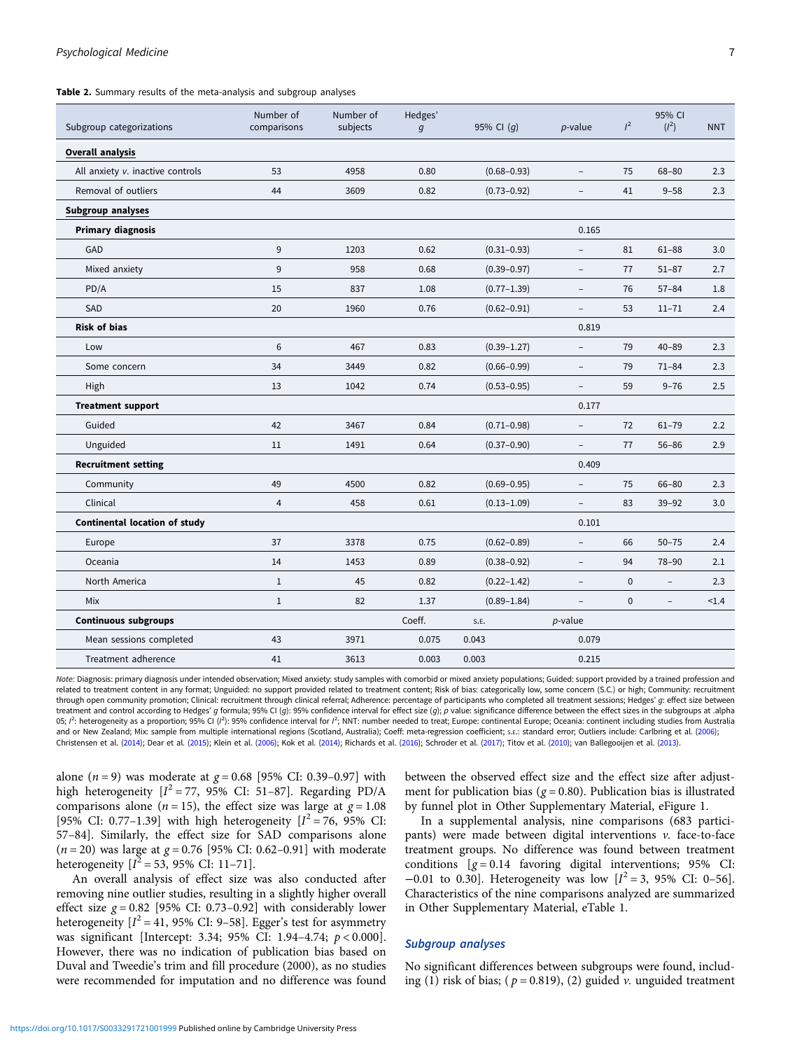<span id="page-6-0"></span>Table 2. Summary results of the meta-analysis and subgroup analyses

| Subgroup categorizations             | Number of<br>comparisons | Number of<br>subjects | Hedges'<br>$\mathfrak{g}$ | 95% CI $(q)$    | $p$ -value               | $l^2$       | 95% CI<br>$(l^2)$        | <b>NNT</b> |
|--------------------------------------|--------------------------|-----------------------|---------------------------|-----------------|--------------------------|-------------|--------------------------|------------|
| <b>Overall analysis</b>              |                          |                       |                           |                 |                          |             |                          |            |
| All anxiety v. inactive controls     | 53                       | 4958                  | 0.80                      | $(0.68 - 0.93)$ | ÷                        | 75          | $68 - 80$                | 2.3        |
| Removal of outliers                  | 44                       | 3609                  | 0.82                      | $(0.73 - 0.92)$ | $\overline{a}$           | 41          | $9 - 58$                 | 2.3        |
| Subgroup analyses                    |                          |                       |                           |                 |                          |             |                          |            |
| <b>Primary diagnosis</b>             |                          |                       |                           |                 | 0.165                    |             |                          |            |
| GAD                                  | 9                        | 1203                  | 0.62                      | $(0.31 - 0.93)$ |                          | 81          | $61 - 88$                | 3.0        |
| Mixed anxiety                        | 9                        | 958                   | 0.68                      | $(0.39 - 0.97)$ |                          | 77          | $51 - 87$                | 2.7        |
| PD/A                                 | 15                       | 837                   | 1.08                      | $(0.77 - 1.39)$ | $\overline{\phantom{a}}$ | 76          | $57 - 84$                | 1.8        |
| SAD                                  | 20                       | 1960                  | 0.76                      | $(0.62 - 0.91)$ | $\overline{a}$           | 53          | $11 - 71$                | 2.4        |
| <b>Risk of bias</b>                  |                          |                       |                           |                 | 0.819                    |             |                          |            |
| Low                                  | 6                        | 467                   | 0.83                      | $(0.39 - 1.27)$ | -                        | 79          | $40 - 89$                | 2.3        |
| Some concern                         | 34                       | 3449                  | 0.82                      | $(0.66 - 0.99)$ | $\overline{\phantom{0}}$ | 79          | $71 - 84$                | 2.3        |
| High                                 | 13                       | 1042                  | 0.74                      | $(0.53 - 0.95)$ | $\overline{\phantom{0}}$ | 59          | $9 - 76$                 | 2.5        |
| <b>Treatment support</b>             |                          |                       |                           |                 | 0.177                    |             |                          |            |
| Guided                               | 42                       | 3467                  | 0.84                      | $(0.71 - 0.98)$ |                          | 72          | $61 - 79$                | 2.2        |
| Unguided                             | 11                       | 1491                  | 0.64                      | $(0.37 - 0.90)$ | $\overline{\phantom{0}}$ | 77          | $56 - 86$                | 2.9        |
| <b>Recruitment setting</b>           |                          |                       |                           |                 | 0.409                    |             |                          |            |
| Community                            | 49                       | 4500                  | 0.82                      | $(0.69 - 0.95)$ | $\overline{\phantom{0}}$ | 75          | $66 - 80$                | 2.3        |
| Clinical                             | $\overline{4}$           | 458                   | 0.61                      | $(0.13 - 1.09)$ |                          | 83          | $39 - 92$                | 3.0        |
| <b>Continental location of study</b> |                          |                       |                           |                 | 0.101                    |             |                          |            |
| Europe                               | 37                       | 3378                  | 0.75                      | $(0.62 - 0.89)$ |                          | 66          | $50 - 75$                | 2.4        |
| Oceania                              | 14                       | 1453                  | 0.89                      | $(0.38 - 0.92)$ | $\overline{\phantom{0}}$ | 94          | 78-90                    | 2.1        |
| North America                        | $\mathbf{1}$             | 45                    | 0.82                      | $(0.22 - 1.42)$ | $\overline{a}$           | $\mathbf 0$ | $\overline{\phantom{a}}$ | 2.3        |
| Mix                                  | $\mathbf{1}$             | 82                    | 1.37                      | $(0.89 - 1.84)$ | $\overline{\phantom{0}}$ | $\mathbf 0$ | $\overline{\phantom{a}}$ | < 1.4      |
| <b>Continuous subgroups</b>          |                          |                       | Coeff.                    | S.E.            | <i>p</i> -value          |             |                          |            |
| Mean sessions completed              | 43                       | 3971                  | 0.075                     | 0.043           | 0.079                    |             |                          |            |
| Treatment adherence                  | 41                       | 3613                  | 0.003                     | 0.003           | 0.215                    |             |                          |            |

Note: Diagnosis: primary diagnosis under intended observation; Mixed anxiety: study samples with comorbid or mixed anxiety populations; Guided: support provided by a trained profession and related to treatment content in any format; Unguided: no support provided related to treatment content; Risk of bias: categorically low, some concern (S.C.) or high; Community: recruitment through open community promotion; Clinical: recruitment through clinical referral; Adherence: percentage of participants who completed all treatment sessions; Hedges' g: effect size between treatment and control according to Hedges' q formula; 95% CI (q): 95% confidence interval for effect size (q); p value: significance difference between the effect sizes in the subgroups at .alpha 05; I<sup>2</sup>: heterogeneity as a proportion; 95% CI (I<sup>2</sup>): 95% confidence interval for I<sup>2</sup>; NNT: number needed to treat; Europe: continental Europe; Oceania: continent including studies from Australia and or New Zealand; Mix: sample from multiple international regions (Scotland, Australia); Coeff: meta-regression coefficient; s.E.: standard error; Outliers include: Carlbring et al. ([2006](#page-10-0)); Christensen et al. [\(2014\)](#page-10-0); Dear et al. ([2015](#page-10-0)); Klein et al. ([2006](#page-11-0)); Kok et al. ([2014](#page-11-0)); Richards et al. ([2016](#page-11-0)); Schroder et al. [\(2017\)](#page-11-0); Titov et al. [\(2010\)](#page-12-0); van Ballegooijen et al. ([2013](#page-12-0)).

alone ( $n = 9$ ) was moderate at  $g = 0.68$  [95% CI: 0.39–0.97] with high heterogeneity  $[I^2 = 77, 95\%$  CI: 51-87]. Regarding PD/A comparisons alone ( $n = 15$ ), the effect size was large at  $g = 1.08$ [95% CI: 0.77-1.39] with high heterogeneity  $[I^2 = 76, 95\%$  CI: 57–84]. Similarly, the effect size for SAD comparisons alone  $(n = 20)$  was large at  $g = 0.76$  [95% CI: 0.62–0.91] with moderate heterogeneity  $[I^2 = 53, 95\% \text{ CI: } 11-71].$ 

An overall analysis of effect size was also conducted after removing nine outlier studies, resulting in a slightly higher overall effect size  $g = 0.82$  [95% CI: 0.73–0.92] with considerably lower heterogeneity  $[I^2 = 41, 95\%$  CI: 9-58]. Egger's test for asymmetry was significant [Intercept: 3.34; 95% CI: 1.94–4.74; p < 0.000]. However, there was no indication of publication bias based on Duval and Tweedie's trim and fill procedure (2000), as no studies were recommended for imputation and no difference was found

between the observed effect size and the effect size after adjustment for publication bias ( $g = 0.80$ ). Publication bias is illustrated by funnel plot in Other Supplementary Material, eFigure 1.

In a supplemental analysis, nine comparisons (683 participants) were made between digital interventions v. face-to-face treatment groups. No difference was found between treatment conditions  $[g = 0.14$  favoring digital interventions; 95% CI: −0.01 to 0.30]. Heterogeneity was low  $[I^2 = 3, 95\%$  CI: 0-56]. Characteristics of the nine comparisons analyzed are summarized in Other Supplementary Material, eTable 1.

## Subgroup analyses

No significant differences between subgroups were found, including (1) risk of bias; ( $p = 0.819$ ), (2) guided v. unguided treatment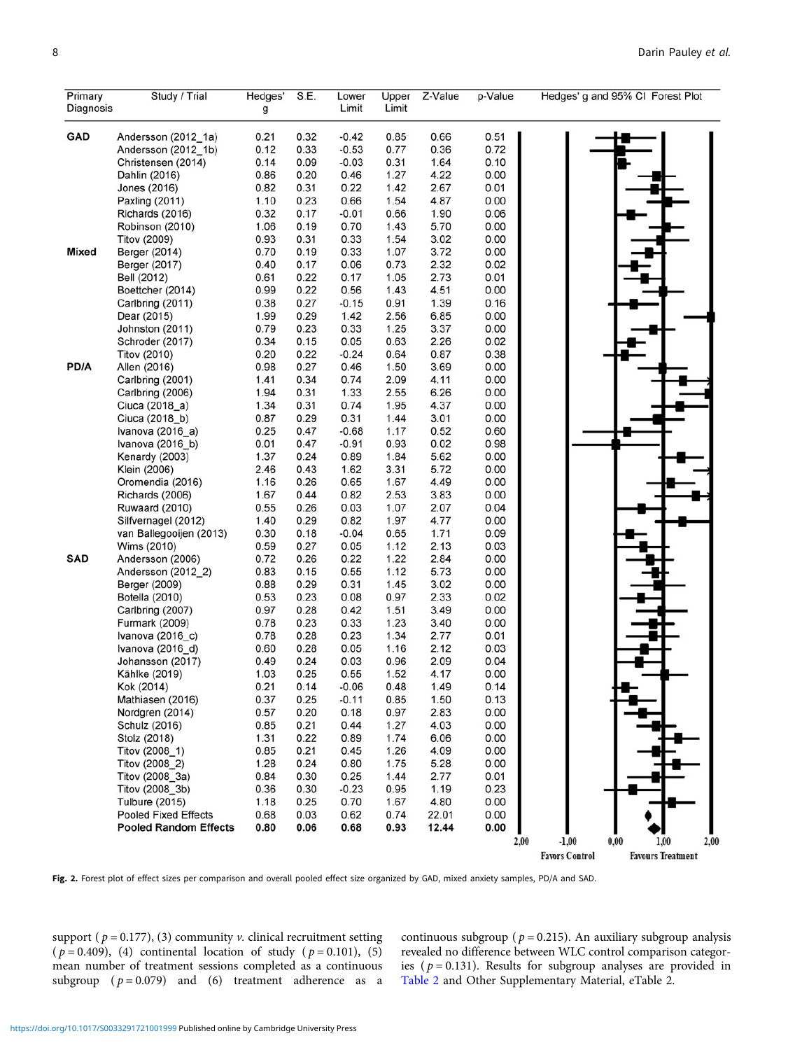<span id="page-7-0"></span>

| Primary      | Study / Trial                              | Hedges'      | S.E.         | Lower           | Upper        | Z-Value      | p-Value      | Hedges' g and 95% CI Forest Plot                  |
|--------------|--------------------------------------------|--------------|--------------|-----------------|--------------|--------------|--------------|---------------------------------------------------|
| Diagnosis    |                                            | g            |              | Limit           | Limit        |              |              |                                                   |
| GAD          |                                            |              |              | $-0.42$         | 0.85         | 0.66         |              |                                                   |
|              | Andersson (2012_1a)<br>Andersson (2012_1b) | 0.21<br>0.12 | 0.32<br>0.33 | $-0.53$         | 0.77         | 0.36         | 0.51<br>0.72 |                                                   |
|              | Christensen (2014)                         | 0.14         | 0.09         | $-0.03$         | 0.31         | 1.64         | 0.10         |                                                   |
|              | Dahlin (2016)                              | 0.86         | 0.20         | 0.46            | 1.27         | 4.22         | 0.00         |                                                   |
|              | Jones (2016)                               | 0.82         | 0.31         | 0.22            | 1.42         | 2.67         | 0.01         |                                                   |
|              | Paxling (2011)                             | 1.10         | 0.23         | 0.66            | 1.54         | 4.87         | 0.00         |                                                   |
|              | Richards (2016)                            | 0.32         | 0.17         | $-0.01$         | 0.66         | 1.90         | 0.06         |                                                   |
|              | Robinson (2010)                            | 1.06         | 0.19         | 0.70            | 1.43         | 5.70         | 0.00         |                                                   |
|              | <b>Titov (2009)</b>                        | 0.93         | 0.31         | 0.33            | 1.54         | 3.02         | 0.00         |                                                   |
| <b>Mixed</b> | Berger (2014)                              | 0.70         | 0.19         | 0.33            | 1.07         | 3.72         | 0.00         |                                                   |
|              | Berger (2017)                              | 0.40         | 0.17         | 0.06            | 0.73         | 2.32         | 0.02         |                                                   |
|              | Bell (2012)                                | 0.61         | 0.22         | 0.17            | 1.05         | 2.73         | 0.01         |                                                   |
|              | Boettcher (2014)                           | 0.99         | 0.22         | 0.56            | 1.43         | 4.51         | 0.00         |                                                   |
|              | Carlbring (2011)                           | 0.38         | 0.27         | $-0.15$         | 0.91         | 1.39         | 0.16         |                                                   |
|              | Dear (2015)                                | 1.99         | 0.29<br>0.23 | 1.42<br>0.33    | 2.56         | 6.85         | 0.00         |                                                   |
|              | Johnston (2011)<br>Schroder (2017)         | 0.79<br>0.34 | 0.15         | 0.05            | 1.25<br>0.63 | 3.37<br>2.26 | 0.00<br>0.02 |                                                   |
|              | <b>Titov (2010)</b>                        | 0.20         | 0.22         | $-0.24$         | 0.64         | 0.87         | 0.38         |                                                   |
| PD/A         | Allen (2016)                               | 0.98         | 0.27         | 0.46            | 1.50         | 3.69         | 0.00         |                                                   |
|              | Carlbring (2001)                           | 1.41         | 0.34         | 0.74            | 2.09         | 4.11         | 0.00         |                                                   |
|              | Carlbring (2006)                           | 1.94         | 0.31         | 1.33            | 2.55         | 6.26         | 0.00         |                                                   |
|              | Ciuca (2018_a)                             | 1.34         | 0.31         | 0.74            | 1.95         | 4.37         | 0.00         |                                                   |
|              | Ciuca (2018_b)                             | 0.87         | 0.29         | 0.31            | 1.44         | 3.01         | 0.00         |                                                   |
|              | Ivanova (2016_a)                           | 0.25         | 0.47         | $-0.68$         | 1.17         | 0.52         | 0.60         |                                                   |
|              | Ivanova (2016_b)                           | 0.01         | 0.47         | $-0.91$         | 0.93         | 0.02         | 0.98         |                                                   |
|              | Kenardy (2003)                             | 1.37         | 0.24         | 0.89            | 1.84         | 5.62         | 0.00         |                                                   |
|              | Klein (2006)                               | 2.46         | 0.43         | 1.62            | 3.31         | 5.72         | 0.00         |                                                   |
|              | Oromendia (2016)                           | 1.16         | 0.26         | 0.65            | 1.67         | 4.49         | 0.00         |                                                   |
|              | Richards (2006)                            | 1.67         | 0.44         | 0.82            | 2.53         | 3.83         | 0.00         |                                                   |
|              | Ruwaard (2010)                             | 0.55         | 0.26         | 0.03            | 1.07         | 2.07         | 0.04         |                                                   |
|              | Silfvernagel (2012)                        | 1.40         | 0.29         | 0.82            | 1.97         | 4.77         | 0.00         |                                                   |
|              | van Ballegooijen (2013)                    | 0.30<br>0.59 | 0.18<br>0.27 | $-0.04$<br>0.05 | 0.65<br>1.12 | 1.71<br>2.13 | 0.09<br>0.03 |                                                   |
| <b>SAD</b>   | Wims (2010)<br>Andersson (2006)            | 0.72         | 0.26         | 0.22            | 1.22         | 2.84         | 0.00         |                                                   |
|              | Andersson (2012_2)                         | 0.83         | 0.15         | 0.55            | 1.12         | 5.73         | 0.00         |                                                   |
|              | Berger (2009)                              | 0.88         | 0.29         | 0.31            | 1.45         | 3.02         | 0.00         |                                                   |
|              | Botella (2010)                             | 0.53         | 0.23         | 0.08            | 0.97         | 2.33         | 0.02         |                                                   |
|              | Carlbring (2007)                           | 0.97         | 0.28         | 0.42            | 1.51         | 3.49         | 0.00         |                                                   |
|              | Furmark (2009)                             | 0.78         | 0.23         | 0.33            | 1.23         | 3.40         | 0.00         |                                                   |
|              | Ivanova (2016 c)                           | 0.78         | 0.28         | 0.23            | 1.34         | 2.77         | 0.01         |                                                   |
|              | Ivanova (2016_d)                           | 0.60         | 0.28         | 0.05            | 1.16         | 2.12         | 0.03         |                                                   |
|              | Johansson (2017)                           | 0.49         | 0.24         | 0.03            | 0.96         | 2.09         | 0.04         |                                                   |
|              | Kählke (2019)                              | 1.03         | 0.25         | 0.55            | 1.52         | 4.17         | 0.00         |                                                   |
|              | Kok (2014)                                 | 0.21         | 0.14         | $-0.06$         | 0.48         | 1.49         | 0.14         |                                                   |
|              | Mathiasen (2016)                           | 0.37         | 0.25         | $-0.11$         | 0.85         | 1.50         | 0.13         |                                                   |
|              | Nordgren (2014)                            | 0.57         | 0.20         | 0.18            | 0.97         | 2.83         | 0.00         |                                                   |
|              | Schulz (2016)                              | 0.85         | 0.21         | 0.44            | 1.27         | 4.03         | 0.00         |                                                   |
|              | Stolz (2018)                               | 1.31         | 0.22         | 0.89            | 1.74         | 6.06         | 0.00         |                                                   |
|              | Titov (2008_1)<br>Titov (2008 2)           | 0.85         | 0.21         | 0.45            | 1.26         | 4.09         | 0.00         |                                                   |
|              | Titov (2008_3a)                            | 1.28<br>0.84 | 0.24<br>0.30 | 0.80<br>0.25    | 1.75<br>1.44 | 5.28<br>2.77 | 0.00<br>0.01 |                                                   |
|              | Titov (2008_3b)                            | 0.36         | 0.30         | $-0.23$         | 0.95         | 1.19         | 0.23         |                                                   |
|              | <b>Tulbure (2015)</b>                      | 1.18         | 0.25         | 0.70            | 1.67         | 4.80         | 0.00         |                                                   |
|              | <b>Pooled Fixed Effects</b>                | 0.68         | 0.03         | 0.62            | 0.74         | 22.01        | 0.00         |                                                   |
|              | <b>Pooled Random Effects</b>               | 0.80         | 0.06         | 0.68            | 0.93         | 12.44        | 0.00         |                                                   |
|              |                                            |              |              |                 |              |              | 2,00         | $-1,00$<br>0,00<br>2,00<br>1,00                   |
|              |                                            |              |              |                 |              |              |              | <b>Favors Control</b><br><b>Favours Treatment</b> |

Fig. 2. Forest plot of effect sizes per comparison and overall pooled effect size organized by GAD, mixed anxiety samples, PD/A and SAD.

support ( $p = 0.177$ ), (3) community v. clinical recruitment setting ( $p = 0.409$ ), (4) continental location of study ( $p = 0.101$ ), (5) mean number of treatment sessions completed as a continuous subgroup  $(p = 0.079)$  and  $(6)$  treatment adherence as a

continuous subgroup ( $p = 0.215$ ). An auxiliary subgroup analysis revealed no difference between WLC control comparison categories ( $p = 0.131$ ). Results for subgroup analyses are provided in [Table 2](#page-6-0) and Other Supplementary Material, eTable 2.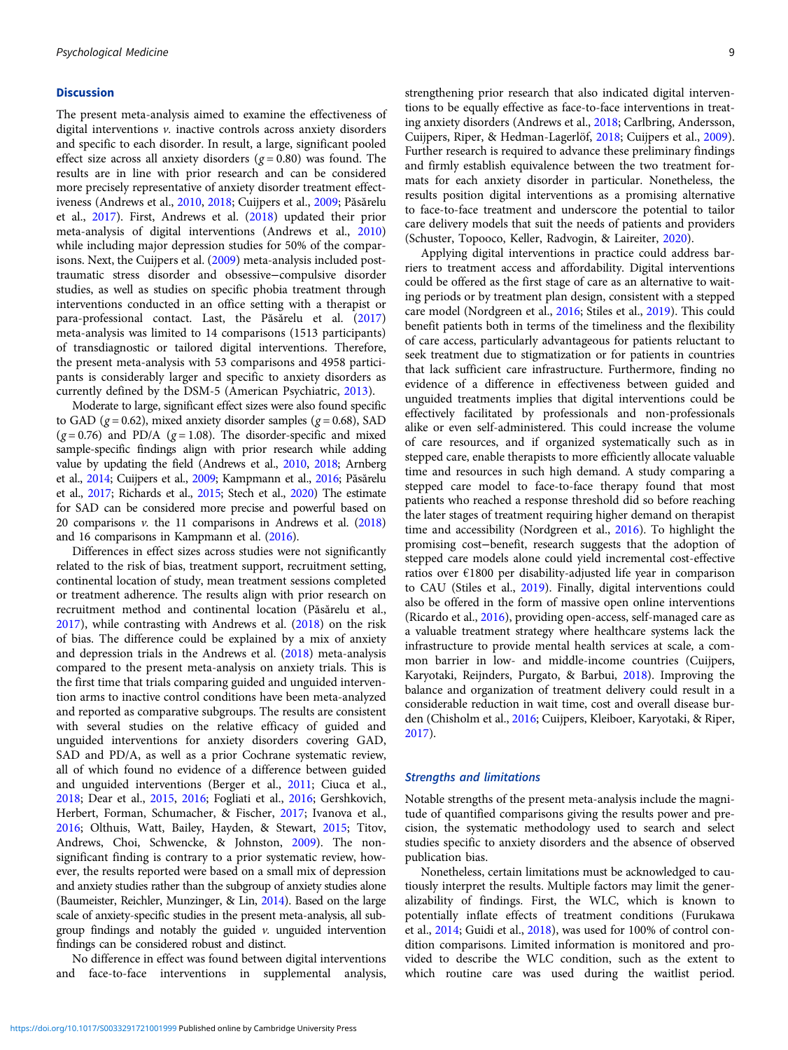#### **Discussion**

The present meta-analysis aimed to examine the effectiveness of digital interventions v. inactive controls across anxiety disorders and specific to each disorder. In result, a large, significant pooled effect size across all anxiety disorders ( $g = 0.80$ ) was found. The results are in line with prior research and can be considered more precisely representative of anxiety disorder treatment effectiveness (Andrews et al., [2010](#page-9-0), [2018](#page-9-0); Cuijpers et al., [2009;](#page-10-0) Păsărelu et al., [2017\)](#page-11-0). First, Andrews et al. ([2018\)](#page-9-0) updated their prior meta-analysis of digital interventions (Andrews et al., [2010\)](#page-9-0) while including major depression studies for 50% of the comparisons. Next, the Cuijpers et al. [\(2009](#page-10-0)) meta-analysis included posttraumatic stress disorder and obsessive−compulsive disorder studies, as well as studies on specific phobia treatment through interventions conducted in an office setting with a therapist or para-professional contact. Last, the Păsărelu et al. [\(2017\)](#page-11-0) meta-analysis was limited to 14 comparisons (1513 participants) of transdiagnostic or tailored digital interventions. Therefore, the present meta-analysis with 53 comparisons and 4958 participants is considerably larger and specific to anxiety disorders as currently defined by the DSM-5 (American Psychiatric, [2013](#page-9-0)).

Moderate to large, significant effect sizes were also found specific to GAD ( $g = 0.62$ ), mixed anxiety disorder samples ( $g = 0.68$ ), SAD  $(g = 0.76)$  and PD/A  $(g = 1.08)$ . The disorder-specific and mixed sample-specific findings align with prior research while adding value by updating the field (Andrews et al., [2010,](#page-9-0) [2018](#page-9-0); Arnberg et al., [2014](#page-9-0); Cuijpers et al., [2009;](#page-10-0) Kampmann et al., [2016](#page-11-0); Păsărelu et al., [2017](#page-11-0); Richards et al., [2015;](#page-11-0) Stech et al., [2020](#page-12-0)) The estimate for SAD can be considered more precise and powerful based on 20 comparisons  $v$ . the 11 comparisons in Andrews et al.  $(2018)$ and 16 comparisons in Kampmann et al. [\(2016\)](#page-11-0).

Differences in effect sizes across studies were not significantly related to the risk of bias, treatment support, recruitment setting, continental location of study, mean treatment sessions completed or treatment adherence. The results align with prior research on recruitment method and continental location (Păsărelu et al., [2017\)](#page-11-0), while contrasting with Andrews et al. ([2018\)](#page-9-0) on the risk of bias. The difference could be explained by a mix of anxiety and depression trials in the Andrews et al. [\(2018\)](#page-9-0) meta-analysis compared to the present meta-analysis on anxiety trials. This is the first time that trials comparing guided and unguided intervention arms to inactive control conditions have been meta-analyzed and reported as comparative subgroups. The results are consistent with several studies on the relative efficacy of guided and unguided interventions for anxiety disorders covering GAD, SAD and PD/A, as well as a prior Cochrane systematic review, all of which found no evidence of a difference between guided and unguided interventions (Berger et al., [2011;](#page-9-0) Ciuca et al., [2018;](#page-10-0) Dear et al., [2015,](#page-10-0) [2016;](#page-10-0) Fogliati et al., [2016;](#page-10-0) Gershkovich, Herbert, Forman, Schumacher, & Fischer, [2017](#page-10-0); Ivanova et al., [2016;](#page-10-0) Olthuis, Watt, Bailey, Hayden, & Stewart, [2015](#page-11-0); Titov, Andrews, Choi, Schwencke, & Johnston, [2009](#page-12-0)). The nonsignificant finding is contrary to a prior systematic review, however, the results reported were based on a small mix of depression and anxiety studies rather than the subgroup of anxiety studies alone (Baumeister, Reichler, Munzinger, & Lin, [2014](#page-9-0)). Based on the large scale of anxiety-specific studies in the present meta-analysis, all subgroup findings and notably the guided  $\nu$ . unguided intervention findings can be considered robust and distinct.

No difference in effect was found between digital interventions and face-to-face interventions in supplemental analysis, strengthening prior research that also indicated digital interventions to be equally effective as face-to-face interventions in treating anxiety disorders (Andrews et al., [2018](#page-9-0); Carlbring, Andersson, Cuijpers, Riper, & Hedman-Lagerlöf, [2018;](#page-10-0) Cuijpers et al., [2009](#page-10-0)). Further research is required to advance these preliminary findings and firmly establish equivalence between the two treatment formats for each anxiety disorder in particular. Nonetheless, the results position digital interventions as a promising alternative to face-to-face treatment and underscore the potential to tailor care delivery models that suit the needs of patients and providers (Schuster, Topooco, Keller, Radvogin, & Laireiter, [2020](#page-11-0)).

Applying digital interventions in practice could address barriers to treatment access and affordability. Digital interventions could be offered as the first stage of care as an alternative to waiting periods or by treatment plan design, consistent with a stepped care model (Nordgreen et al., [2016;](#page-11-0) Stiles et al., [2019](#page-12-0)). This could benefit patients both in terms of the timeliness and the flexibility of care access, particularly advantageous for patients reluctant to seek treatment due to stigmatization or for patients in countries that lack sufficient care infrastructure. Furthermore, finding no evidence of a difference in effectiveness between guided and unguided treatments implies that digital interventions could be effectively facilitated by professionals and non-professionals alike or even self-administered. This could increase the volume of care resources, and if organized systematically such as in stepped care, enable therapists to more efficiently allocate valuable time and resources in such high demand. A study comparing a stepped care model to face-to-face therapy found that most patients who reached a response threshold did so before reaching the later stages of treatment requiring higher demand on therapist time and accessibility (Nordgreen et al., [2016](#page-11-0)). To highlight the promising cost−benefit, research suggests that the adoption of stepped care models alone could yield incremental cost-effective ratios over €1800 per disability-adjusted life year in comparison to CAU (Stiles et al., [2019\)](#page-12-0). Finally, digital interventions could also be offered in the form of massive open online interventions (Ricardo et al., [2016\)](#page-11-0), providing open-access, self-managed care as a valuable treatment strategy where healthcare systems lack the infrastructure to provide mental health services at scale, a common barrier in low- and middle-income countries (Cuijpers, Karyotaki, Reijnders, Purgato, & Barbui, [2018](#page-10-0)). Improving the balance and organization of treatment delivery could result in a considerable reduction in wait time, cost and overall disease burden (Chisholm et al., [2016](#page-10-0); Cuijpers, Kleiboer, Karyotaki, & Riper, [2017](#page-10-0)).

## Strengths and limitations

Notable strengths of the present meta-analysis include the magnitude of quantified comparisons giving the results power and precision, the systematic methodology used to search and select studies specific to anxiety disorders and the absence of observed publication bias.

Nonetheless, certain limitations must be acknowledged to cautiously interpret the results. Multiple factors may limit the generalizability of findings. First, the WLC, which is known to potentially inflate effects of treatment conditions (Furukawa et al., [2014](#page-10-0); Guidi et al., [2018](#page-10-0)), was used for 100% of control condition comparisons. Limited information is monitored and provided to describe the WLC condition, such as the extent to which routine care was used during the waitlist period.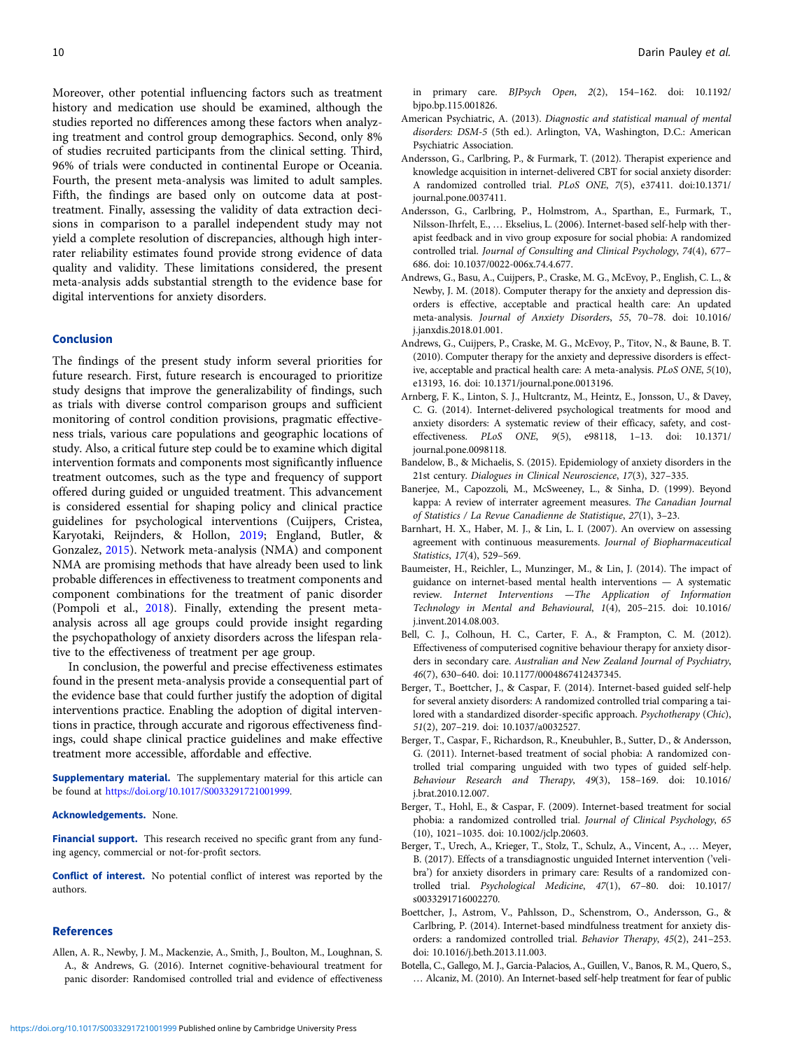<span id="page-9-0"></span>Moreover, other potential influencing factors such as treatment history and medication use should be examined, although the studies reported no differences among these factors when analyzing treatment and control group demographics. Second, only 8% of studies recruited participants from the clinical setting. Third, 96% of trials were conducted in continental Europe or Oceania. Fourth, the present meta-analysis was limited to adult samples. Fifth, the findings are based only on outcome data at posttreatment. Finally, assessing the validity of data extraction decisions in comparison to a parallel independent study may not yield a complete resolution of discrepancies, although high interrater reliability estimates found provide strong evidence of data quality and validity. These limitations considered, the present meta-analysis adds substantial strength to the evidence base for digital interventions for anxiety disorders.

#### Conclusion

The findings of the present study inform several priorities for future research. First, future research is encouraged to prioritize study designs that improve the generalizability of findings, such as trials with diverse control comparison groups and sufficient monitoring of control condition provisions, pragmatic effectiveness trials, various care populations and geographic locations of study. Also, a critical future step could be to examine which digital intervention formats and components most significantly influence treatment outcomes, such as the type and frequency of support offered during guided or unguided treatment. This advancement is considered essential for shaping policy and clinical practice guidelines for psychological interventions (Cuijpers, Cristea, Karyotaki, Reijnders, & Hollon, [2019](#page-10-0); England, Butler, & Gonzalez, [2015](#page-10-0)). Network meta-analysis (NMA) and component NMA are promising methods that have already been used to link probable differences in effectiveness to treatment components and component combinations for the treatment of panic disorder (Pompoli et al., [2018](#page-11-0)). Finally, extending the present metaanalysis across all age groups could provide insight regarding the psychopathology of anxiety disorders across the lifespan relative to the effectiveness of treatment per age group.

In conclusion, the powerful and precise effectiveness estimates found in the present meta-analysis provide a consequential part of the evidence base that could further justify the adoption of digital interventions practice. Enabling the adoption of digital interventions in practice, through accurate and rigorous effectiveness findings, could shape clinical practice guidelines and make effective treatment more accessible, affordable and effective.

Supplementary material. The supplementary material for this article can be found at <https://doi.org/10.1017/S0033291721001999>.

#### Acknowledgements. None.

Financial support. This research received no specific grant from any funding agency, commercial or not-for-profit sectors.

Conflict of interest. No potential conflict of interest was reported by the authors.

## References

Allen, A. R., Newby, J. M., Mackenzie, A., Smith, J., Boulton, M., Loughnan, S. A., & Andrews, G. (2016). Internet cognitive-behavioural treatment for panic disorder: Randomised controlled trial and evidence of effectiveness in primary care. BJPsych Open, 2(2), 154–162. doi: 10.1192/ bjpo.bp.115.001826.

- American Psychiatric, A. (2013). Diagnostic and statistical manual of mental disorders: DSM-5 (5th ed.). Arlington, VA, Washington, D.C.: American Psychiatric Association.
- Andersson, G., Carlbring, P., & Furmark, T. (2012). Therapist experience and knowledge acquisition in internet-delivered CBT for social anxiety disorder: A randomized controlled trial. PLoS ONE, 7(5), e37411. doi:10.1371/ journal.pone.0037411.
- Andersson, G., Carlbring, P., Holmstrom, A., Sparthan, E., Furmark, T., Nilsson-Ihrfelt, E., … Ekselius, L. (2006). Internet-based self-help with therapist feedback and in vivo group exposure for social phobia: A randomized controlled trial. Journal of Consulting and Clinical Psychology, 74(4), 677– 686. doi: 10.1037/0022-006x.74.4.677.
- Andrews, G., Basu, A., Cuijpers, P., Craske, M. G., McEvoy, P., English, C. L., & Newby, J. M. (2018). Computer therapy for the anxiety and depression disorders is effective, acceptable and practical health care: An updated meta-analysis. Journal of Anxiety Disorders, 55, 70–78. doi: 10.1016/ j.janxdis.2018.01.001.
- Andrews, G., Cuijpers, P., Craske, M. G., McEvoy, P., Titov, N., & Baune, B. T. (2010). Computer therapy for the anxiety and depressive disorders is effective, acceptable and practical health care: A meta-analysis. PLoS ONE, 5(10), e13193, 16. doi: 10.1371/journal.pone.0013196.
- Arnberg, F. K., Linton, S. J., Hultcrantz, M., Heintz, E., Jonsson, U., & Davey, C. G. (2014). Internet-delivered psychological treatments for mood and anxiety disorders: A systematic review of their efficacy, safety, and costeffectiveness. PLoS ONE, 9(5), e98118, 1–13. doi: 10.1371/ journal.pone.0098118.
- Bandelow, B., & Michaelis, S. (2015). Epidemiology of anxiety disorders in the 21st century. Dialogues in Clinical Neuroscience, 17(3), 327–335.
- Banerjee, M., Capozzoli, M., McSweeney, L., & Sinha, D. (1999). Beyond kappa: A review of interrater agreement measures. The Canadian Journal of Statistics / La Revue Canadienne de Statistique, 27(1), 3–23.
- Barnhart, H. X., Haber, M. J., & Lin, L. I. (2007). An overview on assessing agreement with continuous measurements. Journal of Biopharmaceutical Statistics, 17(4), 529–569.
- Baumeister, H., Reichler, L., Munzinger, M., & Lin, J. (2014). The impact of guidance on internet-based mental health interventions — A systematic review. Internet Interventions —The Application of Information Technology in Mental and Behavioural, 1(4), 205–215. doi: 10.1016/ j.invent.2014.08.003.
- Bell, C. J., Colhoun, H. C., Carter, F. A., & Frampton, C. M. (2012). Effectiveness of computerised cognitive behaviour therapy for anxiety disorders in secondary care. Australian and New Zealand Journal of Psychiatry, 46(7), 630–640. doi: 10.1177/0004867412437345.
- Berger, T., Boettcher, J., & Caspar, F. (2014). Internet-based guided self-help for several anxiety disorders: A randomized controlled trial comparing a tailored with a standardized disorder-specific approach. Psychotherapy (Chic), 51(2), 207–219. doi: 10.1037/a0032527.
- Berger, T., Caspar, F., Richardson, R., Kneubuhler, B., Sutter, D., & Andersson, G. (2011). Internet-based treatment of social phobia: A randomized controlled trial comparing unguided with two types of guided self-help. Behaviour Research and Therapy, 49(3), 158–169. doi: 10.1016/ j.brat.2010.12.007.
- Berger, T., Hohl, E., & Caspar, F. (2009). Internet-based treatment for social phobia: a randomized controlled trial. Journal of Clinical Psychology, 65 (10), 1021–1035. doi: 10.1002/jclp.20603.
- Berger, T., Urech, A., Krieger, T., Stolz, T., Schulz, A., Vincent, A., … Meyer, B. (2017). Effects of a transdiagnostic unguided Internet intervention ('velibra') for anxiety disorders in primary care: Results of a randomized controlled trial. Psychological Medicine, 47(1), 67–80. doi: 10.1017/ s0033291716002270.
- Boettcher, J., Astrom, V., Pahlsson, D., Schenstrom, O., Andersson, G., & Carlbring, P. (2014). Internet-based mindfulness treatment for anxiety disorders: a randomized controlled trial. Behavior Therapy, 45(2), 241–253. doi: 10.1016/j.beth.2013.11.003.
- Botella, C., Gallego, M. J., Garcia-Palacios, A., Guillen, V., Banos, R. M., Quero, S., … Alcaniz, M. (2010). An Internet-based self-help treatment for fear of public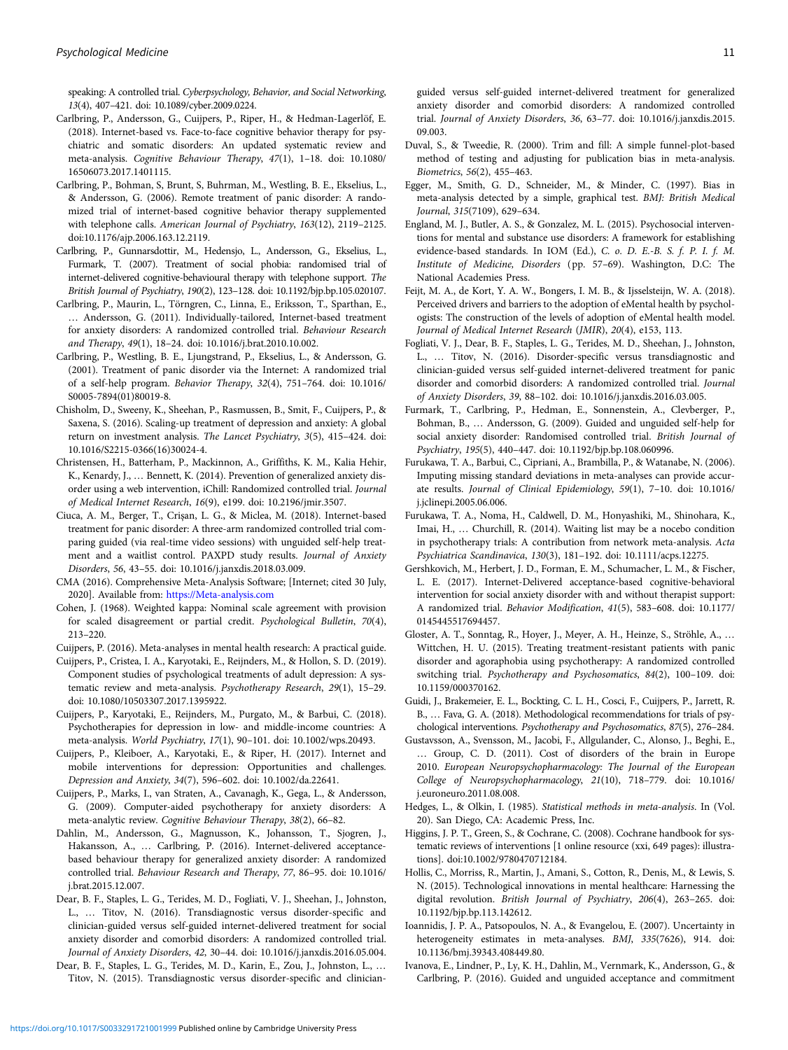<span id="page-10-0"></span>speaking: A controlled trial. Cyberpsychology, Behavior, and Social Networking, 13(4), 407–421. doi: 10.1089/cyber.2009.0224.

- Carlbring, P., Andersson, G., Cuijpers, P., Riper, H., & Hedman-Lagerlöf, E. (2018). Internet-based vs. Face-to-face cognitive behavior therapy for psychiatric and somatic disorders: An updated systematic review and meta-analysis. Cognitive Behaviour Therapy, 47(1), 1–18. doi: 10.1080/ 16506073.2017.1401115.
- Carlbring, P., Bohman, S, Brunt, S, Buhrman, M., Westling, B. E., Ekselius, L., & Andersson, G. (2006). Remote treatment of panic disorder: A randomized trial of internet-based cognitive behavior therapy supplemented with telephone calls. American Journal of Psychiatry, 163(12), 2119–2125. doi:10.1176/ajp.2006.163.12.2119.
- Carlbring, P., Gunnarsdottir, M., Hedensjo, L., Andersson, G., Ekselius, L., Furmark, T. (2007). Treatment of social phobia: randomised trial of internet-delivered cognitive-behavioural therapy with telephone support. The British Journal of Psychiatry, 190(2), 123–128. doi: 10.1192/bjp.bp.105.020107.
- Carlbring, P., Maurin, L., Törngren, C., Linna, E., Eriksson, T., Sparthan, E., … Andersson, G. (2011). Individually-tailored, Internet-based treatment for anxiety disorders: A randomized controlled trial. Behaviour Research and Therapy, 49(1), 18–24. doi: 10.1016/j.brat.2010.10.002.
- Carlbring, P., Westling, B. E., Ljungstrand, P., Ekselius, L., & Andersson, G. (2001). Treatment of panic disorder via the Internet: A randomized trial of a self-help program. Behavior Therapy, 32(4), 751–764. doi: 10.1016/ S0005-7894(01)80019-8.
- Chisholm, D., Sweeny, K., Sheehan, P., Rasmussen, B., Smit, F., Cuijpers, P., & Saxena, S. (2016). Scaling-up treatment of depression and anxiety: A global return on investment analysis. The Lancet Psychiatry, 3(5), 415–424. doi: 10.1016/S2215-0366(16)30024-4.
- Christensen, H., Batterham, P., Mackinnon, A., Griffiths, K. M., Kalia Hehir, K., Kenardy, J., … Bennett, K. (2014). Prevention of generalized anxiety disorder using a web intervention, iChill: Randomized controlled trial. Journal of Medical Internet Research, 16(9), e199. doi: 10.2196/jmir.3507.
- Ciuca, A. M., Berger, T., Crişan, L. G., & Miclea, M. (2018). Internet-based treatment for panic disorder: A three-arm randomized controlled trial comparing guided (via real-time video sessions) with unguided self-help treatment and a waitlist control. PAXPD study results. Journal of Anxiety Disorders, 56, 43–55. doi: 10.1016/j.janxdis.2018.03.009.
- CMA (2016). Comprehensive Meta-Analysis Software; [Internet; cited 30 July, 2020]. Available from: <https://Meta-analysis.com>
- Cohen, J. (1968). Weighted kappa: Nominal scale agreement with provision for scaled disagreement or partial credit. Psychological Bulletin, 70(4), 213–220.

Cuijpers, P. (2016). Meta-analyses in mental health research: A practical guide.

- Cuijpers, P., Cristea, I. A., Karyotaki, E., Reijnders, M., & Hollon, S. D. (2019). Component studies of psychological treatments of adult depression: A systematic review and meta-analysis. Psychotherapy Research, 29(1), 15–29. doi: 10.1080/10503307.2017.1395922.
- Cuijpers, P., Karyotaki, E., Reijnders, M., Purgato, M., & Barbui, C. (2018). Psychotherapies for depression in low- and middle-income countries: A meta-analysis. World Psychiatry, 17(1), 90–101. doi: 10.1002/wps.20493.
- Cuijpers, P., Kleiboer, A., Karyotaki, E., & Riper, H. (2017). Internet and mobile interventions for depression: Opportunities and challenges. Depression and Anxiety, 34(7), 596–602. doi: 10.1002/da.22641.
- Cuijpers, P., Marks, I., van Straten, A., Cavanagh, K., Gega, L., & Andersson, G. (2009). Computer-aided psychotherapy for anxiety disorders: A meta-analytic review. Cognitive Behaviour Therapy, 38(2), 66–82.
- Dahlin, M., Andersson, G., Magnusson, K., Johansson, T., Sjogren, J., Hakansson, A., … Carlbring, P. (2016). Internet-delivered acceptancebased behaviour therapy for generalized anxiety disorder: A randomized controlled trial. Behaviour Research and Therapy, 77, 86–95. doi: 10.1016/ j.brat.2015.12.007.
- Dear, B. F., Staples, L. G., Terides, M. D., Fogliati, V. J., Sheehan, J., Johnston, L., … Titov, N. (2016). Transdiagnostic versus disorder-specific and clinician-guided versus self-guided internet-delivered treatment for social anxiety disorder and comorbid disorders: A randomized controlled trial. Journal of Anxiety Disorders, 42, 30–44. doi: 10.1016/j.janxdis.2016.05.004.
- Dear, B. F., Staples, L. G., Terides, M. D., Karin, E., Zou, J., Johnston, L., … Titov, N. (2015). Transdiagnostic versus disorder-specific and clinician-

guided versus self-guided internet-delivered treatment for generalized anxiety disorder and comorbid disorders: A randomized controlled trial. Journal of Anxiety Disorders, 36, 63–77. doi: 10.1016/j.janxdis.2015. 09.003.

- Duval, S., & Tweedie, R. (2000). Trim and fill: A simple funnel-plot-based method of testing and adjusting for publication bias in meta-analysis. Biometrics, 56(2), 455–463.
- Egger, M., Smith, G. D., Schneider, M., & Minder, C. (1997). Bias in meta-analysis detected by a simple, graphical test. BMJ: British Medical Journal, 315(7109), 629–634.
- England, M. J., Butler, A. S., & Gonzalez, M. L. (2015). Psychosocial interventions for mental and substance use disorders: A framework for establishing evidence-based standards. In IOM (Ed.), C. o. D. E.-B. S. f. P. I. f. M. Institute of Medicine, Disorders (pp. 57–69). Washington, D.C: The National Academies Press.
- Feijt, M. A., de Kort, Y. A. W., Bongers, I. M. B., & Ijsselsteijn, W. A. (2018). Perceived drivers and barriers to the adoption of eMental health by psychologists: The construction of the levels of adoption of eMental health model. Journal of Medical Internet Research (JMIR), 20(4), e153, 113.
- Fogliati, V. J., Dear, B. F., Staples, L. G., Terides, M. D., Sheehan, J., Johnston, L., … Titov, N. (2016). Disorder-specific versus transdiagnostic and clinician-guided versus self-guided internet-delivered treatment for panic disorder and comorbid disorders: A randomized controlled trial. Journal of Anxiety Disorders, 39, 88–102. doi: 10.1016/j.janxdis.2016.03.005.
- Furmark, T., Carlbring, P., Hedman, E., Sonnenstein, A., Clevberger, P., Bohman, B., … Andersson, G. (2009). Guided and unguided self-help for social anxiety disorder: Randomised controlled trial. British Journal of Psychiatry, 195(5), 440–447. doi: 10.1192/bjp.bp.108.060996.
- Furukawa, T. A., Barbui, C., Cipriani, A., Brambilla, P., & Watanabe, N. (2006). Imputing missing standard deviations in meta-analyses can provide accurate results. Journal of Clinical Epidemiology, 59(1), 7–10. doi: 10.1016/ j.jclinepi.2005.06.006.
- Furukawa, T. A., Noma, H., Caldwell, D. M., Honyashiki, M., Shinohara, K., Imai, H., … Churchill, R. (2014). Waiting list may be a nocebo condition in psychotherapy trials: A contribution from network meta-analysis. Acta Psychiatrica Scandinavica, 130(3), 181–192. doi: 10.1111/acps.12275.
- Gershkovich, M., Herbert, J. D., Forman, E. M., Schumacher, L. M., & Fischer, L. E. (2017). Internet-Delivered acceptance-based cognitive-behavioral intervention for social anxiety disorder with and without therapist support: A randomized trial. Behavior Modification, 41(5), 583–608. doi: 10.1177/ 0145445517694457.
- Gloster, A. T., Sonntag, R., Hoyer, J., Meyer, A. H., Heinze, S., Ströhle, A., … Wittchen, H. U. (2015). Treating treatment-resistant patients with panic disorder and agoraphobia using psychotherapy: A randomized controlled switching trial. Psychotherapy and Psychosomatics, 84(2), 100–109. doi: 10.1159/000370162.
- Guidi, J., Brakemeier, E. L., Bockting, C. L. H., Cosci, F., Cuijpers, P., Jarrett, R. B., … Fava, G. A. (2018). Methodological recommendations for trials of psychological interventions. Psychotherapy and Psychosomatics, 87(5), 276–284.
- Gustavsson, A., Svensson, M., Jacobi, F., Allgulander, C., Alonso, J., Beghi, E., … Group, C. D. (2011). Cost of disorders of the brain in Europe 2010. European Neuropsychopharmacology: The Journal of the European College of Neuropsychopharmacology, 21(10), 718–779. doi: 10.1016/ j.euroneuro.2011.08.008.
- Hedges, L., & Olkin, I. (1985). Statistical methods in meta-analysis. In (Vol. 20). San Diego, CA: Academic Press, Inc.
- Higgins, J. P. T., Green, S., & Cochrane, C. (2008). Cochrane handbook for systematic reviews of interventions [1 online resource (xxi, 649 pages): illustrations]. doi:10.1002/9780470712184.
- Hollis, C., Morriss, R., Martin, J., Amani, S., Cotton, R., Denis, M., & Lewis, S. N. (2015). Technological innovations in mental healthcare: Harnessing the digital revolution. British Journal of Psychiatry, 206(4), 263–265. doi: 10.1192/bjp.bp.113.142612.
- Ioannidis, J. P. A., Patsopoulos, N. A., & Evangelou, E. (2007). Uncertainty in heterogeneity estimates in meta-analyses. BMJ, 335(7626), 914. doi: 10.1136/bmj.39343.408449.80.
- Ivanova, E., Lindner, P., Ly, K. H., Dahlin, M., Vernmark, K., Andersson, G., & Carlbring, P. (2016). Guided and unguided acceptance and commitment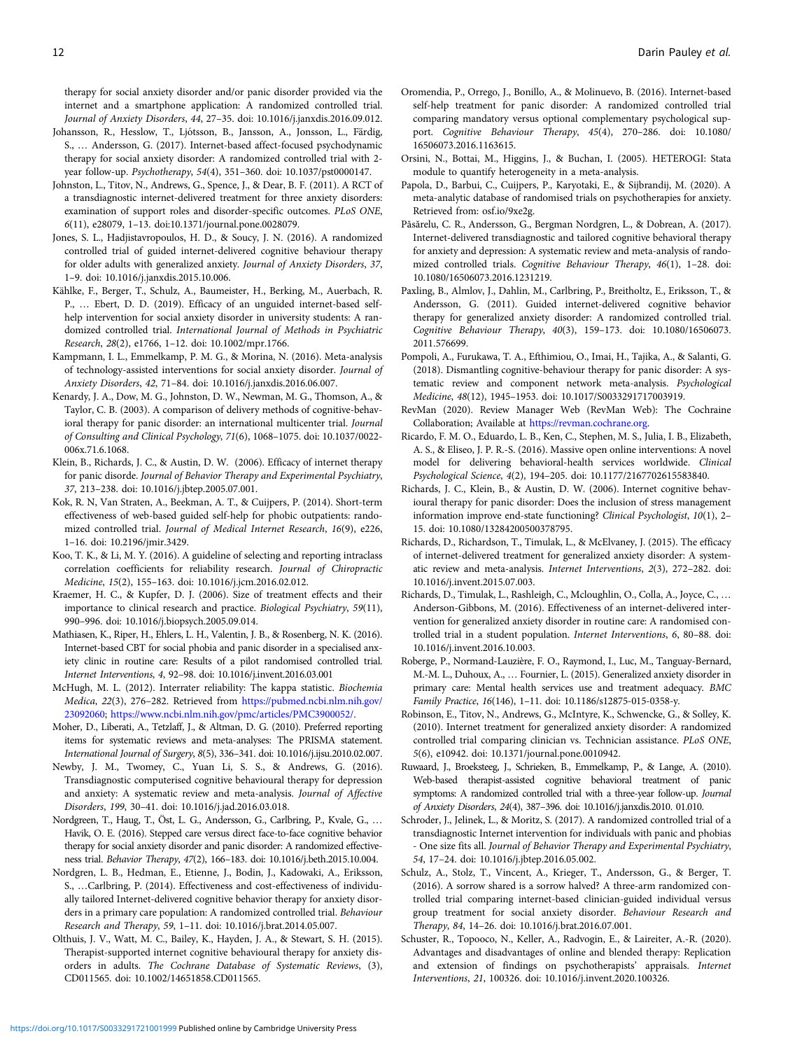<span id="page-11-0"></span>therapy for social anxiety disorder and/or panic disorder provided via the internet and a smartphone application: A randomized controlled trial. Journal of Anxiety Disorders, 44, 27–35. doi: 10.1016/j.janxdis.2016.09.012.

- Johansson, R., Hesslow, T., Ljótsson, B., Jansson, A., Jonsson, L., Färdig, S., … Andersson, G. (2017). Internet-based affect-focused psychodynamic therapy for social anxiety disorder: A randomized controlled trial with 2 year follow-up. Psychotherapy, 54(4), 351–360. doi: 10.1037/pst0000147.
- Johnston, L., Titov, N., Andrews, G., Spence, J., & Dear, B. F. (2011). A RCT of a transdiagnostic internet-delivered treatment for three anxiety disorders: examination of support roles and disorder-specific outcomes. PLoS ONE, 6(11), e28079, 1–13. doi:10.1371/journal.pone.0028079.
- Jones, S. L., Hadjistavropoulos, H. D., & Soucy, J. N. (2016). A randomized controlled trial of guided internet-delivered cognitive behaviour therapy for older adults with generalized anxiety. Journal of Anxiety Disorders, 37, 1–9. doi: 10.1016/j.janxdis.2015.10.006.
- Kählke, F., Berger, T., Schulz, A., Baumeister, H., Berking, M., Auerbach, R. P., … Ebert, D. D. (2019). Efficacy of an unguided internet-based selfhelp intervention for social anxiety disorder in university students: A randomized controlled trial. International Journal of Methods in Psychiatric Research, 28(2), e1766, 1–12. doi: 10.1002/mpr.1766.
- Kampmann, I. L., Emmelkamp, P. M. G., & Morina, N. (2016). Meta-analysis of technology-assisted interventions for social anxiety disorder. Journal of Anxiety Disorders, 42, 71–84. doi: 10.1016/j.janxdis.2016.06.007.
- Kenardy, J. A., Dow, M. G., Johnston, D. W., Newman, M. G., Thomson, A., & Taylor, C. B. (2003). A comparison of delivery methods of cognitive-behavioral therapy for panic disorder: an international multicenter trial. Journal of Consulting and Clinical Psychology, 71(6), 1068–1075. doi: 10.1037/0022- 006x.71.6.1068.
- Klein, B., Richards, J. C., & Austin, D. W. (2006). Efficacy of internet therapy for panic disorde. Journal of Behavior Therapy and Experimental Psychiatry, 37, 213–238. doi: 10.1016/j.jbtep.2005.07.001.
- Kok, R. N, Van Straten, A., Beekman, A. T., & Cuijpers, P. (2014). Short-term effectiveness of web-based guided self-help for phobic outpatients: randomized controlled trial. Journal of Medical Internet Research, 16(9), e226, 1–16. doi: 10.2196/jmir.3429.
- Koo, T. K., & Li, M. Y. (2016). A guideline of selecting and reporting intraclass correlation coefficients for reliability research. Journal of Chiropractic Medicine, 15(2), 155–163. doi: 10.1016/j.jcm.2016.02.012.
- Kraemer, H. C., & Kupfer, D. J. (2006). Size of treatment effects and their importance to clinical research and practice. Biological Psychiatry, 59(11), 990–996. doi: 10.1016/j.biopsych.2005.09.014.
- Mathiasen, K., Riper, H., Ehlers, L. H., Valentin, J. B., & Rosenberg, N. K. (2016). Internet-based CBT for social phobia and panic disorder in a specialised anxiety clinic in routine care: Results of a pilot randomised controlled trial. Internet Interventions, 4, 92–98. doi: 10.1016/j.invent.2016.03.001
- McHugh, M. L. (2012). Interrater reliability: The kappa statistic. Biochemia Medica, 22(3), 276–282. Retrieved from [https://pubmed.ncbi.nlm.nih.gov/](https://pubmed.ncbi.nlm.nih.gov/23092060) [23092060](https://pubmed.ncbi.nlm.nih.gov/23092060); <https://www.ncbi.nlm.nih.gov/pmc/articles/PMC3900052/>.
- Moher, D., Liberati, A., Tetzlaff, J., & Altman, D. G. (2010). Preferred reporting items for systematic reviews and meta-analyses: The PRISMA statement. International Journal of Surgery, 8(5), 336–341. doi: 10.1016/j.ijsu.2010.02.007.
- Newby, J. M., Twomey, C., Yuan Li, S. S., & Andrews, G. (2016). Transdiagnostic computerised cognitive behavioural therapy for depression and anxiety: A systematic review and meta-analysis. Journal of Affective Disorders, 199, 30–41. doi: 10.1016/j.jad.2016.03.018.
- Nordgreen, T., Haug, T., Öst, L. G., Andersson, G., Carlbring, P., Kvale, G., … Havik, O. E. (2016). Stepped care versus direct face-to-face cognitive behavior therapy for social anxiety disorder and panic disorder: A randomized effectiveness trial. Behavior Therapy, 47(2), 166–183. doi: 10.1016/j.beth.2015.10.004.
- Nordgren, L. B., Hedman, E., Etienne, J., Bodin, J., Kadowaki, A., Eriksson, S., …Carlbring, P. (2014). Effectiveness and cost-effectiveness of individually tailored Internet-delivered cognitive behavior therapy for anxiety disorders in a primary care population: A randomized controlled trial. Behaviour Research and Therapy, 59, 1–11. doi: 10.1016/j.brat.2014.05.007.
- Olthuis, J. V., Watt, M. C., Bailey, K., Hayden, J. A., & Stewart, S. H. (2015). Therapist-supported internet cognitive behavioural therapy for anxiety disorders in adults. The Cochrane Database of Systematic Reviews, (3), CD011565. doi: 10.1002/14651858.CD011565.
- Oromendia, P., Orrego, J., Bonillo, A., & Molinuevo, B. (2016). Internet-based self-help treatment for panic disorder: A randomized controlled trial comparing mandatory versus optional complementary psychological support. Cognitive Behaviour Therapy, 45(4), 270–286. doi: 10.1080/ 16506073.2016.1163615.
- Orsini, N., Bottai, M., Higgins, J., & Buchan, I. (2005). HETEROGI: Stata module to quantify heterogeneity in a meta-analysis.
- Papola, D., Barbui, C., Cuijpers, P., Karyotaki, E., & Sijbrandij, M. (2020). A meta-analytic database of randomised trials on psychotherapies for anxiety. Retrieved from: osf.io/9xe2g.
- Păsărelu, C. R., Andersson, G., Bergman Nordgren, L., & Dobrean, A. (2017). Internet-delivered transdiagnostic and tailored cognitive behavioral therapy for anxiety and depression: A systematic review and meta-analysis of randomized controlled trials. Cognitive Behaviour Therapy, 46(1), 1–28. doi: 10.1080/16506073.2016.1231219.
- Paxling, B., Almlov, J., Dahlin, M., Carlbring, P., Breitholtz, E., Eriksson, T., & Andersson, G. (2011). Guided internet-delivered cognitive behavior therapy for generalized anxiety disorder: A randomized controlled trial. Cognitive Behaviour Therapy, 40(3), 159–173. doi: 10.1080/16506073. 2011.576699.
- Pompoli, A., Furukawa, T. A., Efthimiou, O., Imai, H., Tajika, A., & Salanti, G. (2018). Dismantling cognitive-behaviour therapy for panic disorder: A systematic review and component network meta-analysis. Psychological Medicine, 48(12), 1945–1953. doi: 10.1017/S0033291717003919.
- RevMan (2020). Review Manager Web (RevMan Web): The Cochraine Collaboration; Available at <https://revman.cochrane.org>.
- Ricardo, F. M. O., Eduardo, L. B., Ken, C., Stephen, M. S., Julia, I. B., Elizabeth, A. S., & Eliseo, J. P. R.-S. (2016). Massive open online interventions: A novel model for delivering behavioral-health services worldwide. Clinical Psychological Science, 4(2), 194–205. doi: 10.1177/2167702615583840.
- Richards, J. C., Klein, B., & Austin, D. W. (2006). Internet cognitive behavioural therapy for panic disorder: Does the inclusion of stress management information improve end-state functioning? Clinical Psychologist, 10(1), 2– 15. doi: 10.1080/13284200500378795.
- Richards, D., Richardson, T., Timulak, L., & McElvaney, J. (2015). The efficacy of internet-delivered treatment for generalized anxiety disorder: A systematic review and meta-analysis. Internet Interventions, 2(3), 272–282. doi: 10.1016/j.invent.2015.07.003.
- Richards, D., Timulak, L., Rashleigh, C., Mcloughlin, O., Colla, A., Joyce, C., … Anderson-Gibbons, M. (2016). Effectiveness of an internet-delivered intervention for generalized anxiety disorder in routine care: A randomised controlled trial in a student population. Internet Interventions, 6, 80–88. doi: 10.1016/j.invent.2016.10.003.
- Roberge, P., Normand-Lauzière, F. O., Raymond, I., Luc, M., Tanguay-Bernard, M.-M. L., Duhoux, A., … Fournier, L. (2015). Generalized anxiety disorder in primary care: Mental health services use and treatment adequacy. BMC Family Practice, 16(146), 1–11. doi: 10.1186/s12875-015-0358-y.
- Robinson, E., Titov, N., Andrews, G., McIntyre, K., Schwencke, G., & Solley, K. (2010). Internet treatment for generalized anxiety disorder: A randomized controlled trial comparing clinician vs. Technician assistance. PLoS ONE, 5(6), e10942. doi: 10.1371/journal.pone.0010942.
- Ruwaard, J., Broeksteeg, J., Schrieken, B., Emmelkamp, P., & Lange, A. (2010). Web-based therapist-assisted cognitive behavioral treatment of panic symptoms: A randomized controlled trial with a three-year follow-up. Journal of Anxiety Disorders, 24(4), 387–396. doi: 10.1016/j.janxdis.2010. 01.010.
- Schroder, J., Jelinek, L., & Moritz, S. (2017). A randomized controlled trial of a transdiagnostic Internet intervention for individuals with panic and phobias - One size fits all. Journal of Behavior Therapy and Experimental Psychiatry, 54, 17–24. doi: 10.1016/j.jbtep.2016.05.002.
- Schulz, A., Stolz, T., Vincent, A., Krieger, T., Andersson, G., & Berger, T. (2016). A sorrow shared is a sorrow halved? A three-arm randomized controlled trial comparing internet-based clinician-guided individual versus group treatment for social anxiety disorder. Behaviour Research and Therapy, 84, 14–26. doi: 10.1016/j.brat.2016.07.001.
- Schuster, R., Topooco, N., Keller, A., Radvogin, E., & Laireiter, A.-R. (2020). Advantages and disadvantages of online and blended therapy: Replication and extension of findings on psychotherapists' appraisals. Internet Interventions, 21, 100326. doi: 10.1016/j.invent.2020.100326.